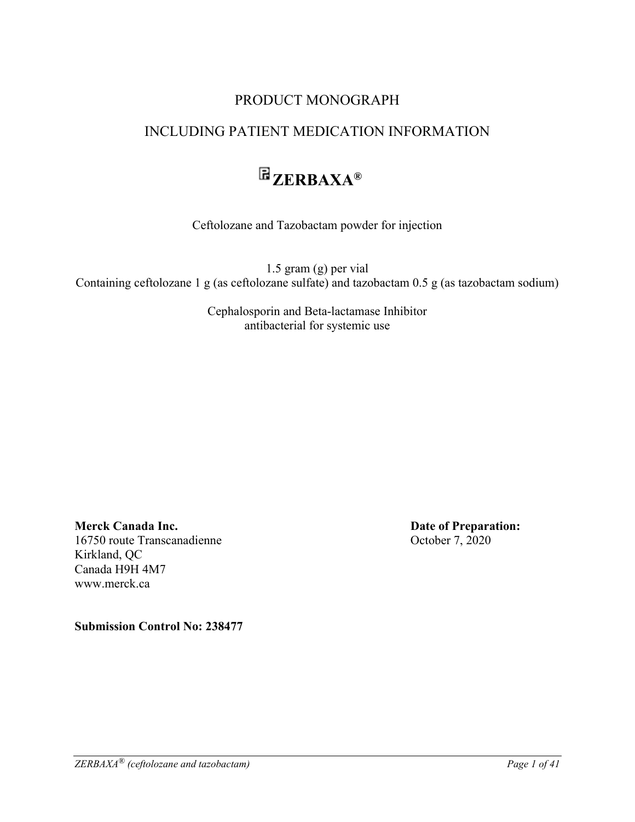### PRODUCT MONOGRAPH

# INCLUDING PATIENT MEDICATION INFORMATION

# **ZERBAXA®**

Ceftolozane and Tazobactam powder for injection

1.5 gram (g) per vial Containing ceftolozane 1 g (as ceftolozane sulfate) and tazobactam 0.5 g (as tazobactam sodium)

> Cephalosporin and Beta-lactamase Inhibitor antibacterial for systemic use

**Merck Canada Inc. Date of Preparation:** 16750 route Transcanadienne October 7, 2020 Kirkland, QC Canada H9H 4M7 www.merck.ca

**Submission Control No: 238477**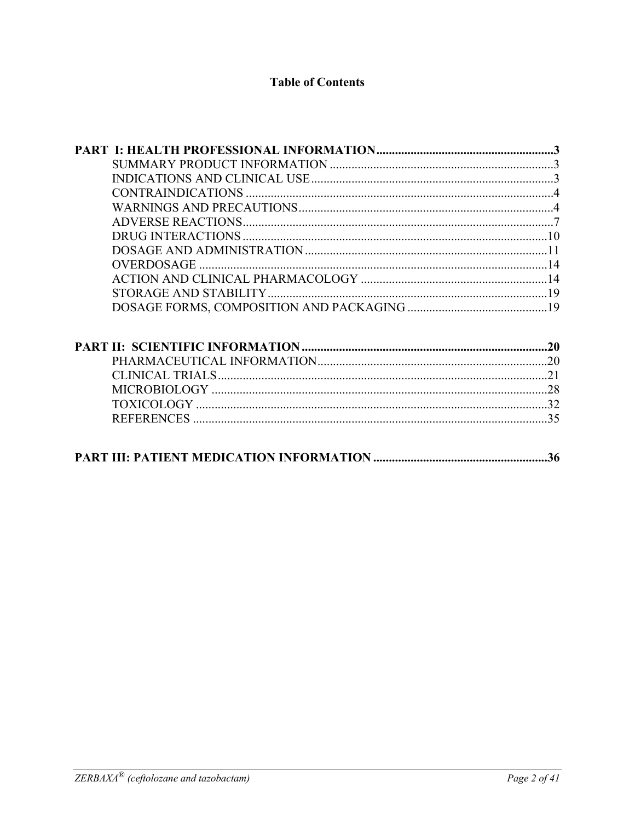### **Table of Contents**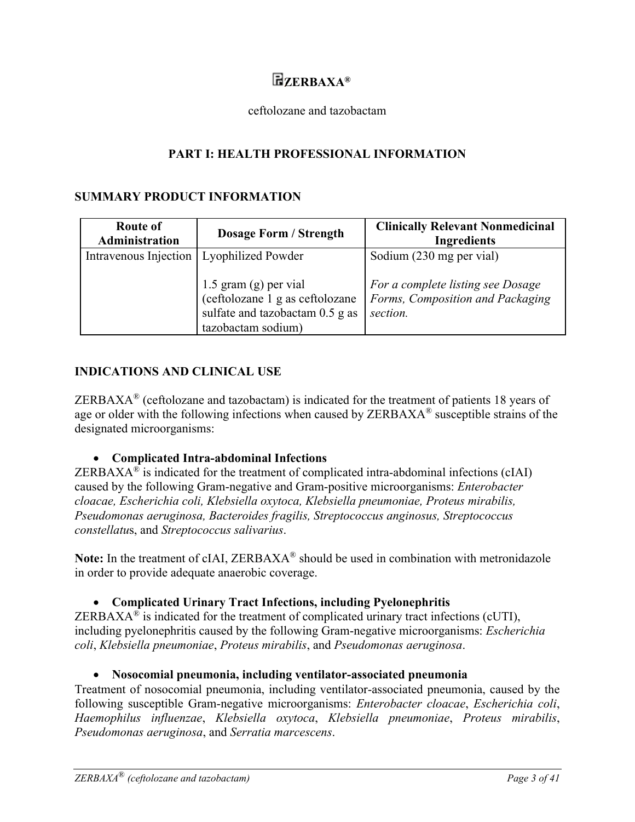# **ZERBAXA®**

#### ceftolozane and tazobactam

### **PART I: HEALTH PROFESSIONAL INFORMATION**

#### **SUMMARY PRODUCT INFORMATION**

| <b>Route of</b><br>Administration | <b>Dosage Form / Strength</b>                                                                                     | <b>Clinically Relevant Nonmedicinal</b><br><b>Ingredients</b>                     |
|-----------------------------------|-------------------------------------------------------------------------------------------------------------------|-----------------------------------------------------------------------------------|
| Intravenous Injection             | Lyophilized Powder                                                                                                | Sodium (230 mg per vial)                                                          |
|                                   | 1.5 gram (g) per vial<br>(ceftolozane 1 g as ceftolozane<br>sulfate and tazobactam 0.5 g as<br>tazobactam sodium) | For a complete listing see Dosage<br>Forms, Composition and Packaging<br>section. |

#### **INDICATIONS AND CLINICAL USE**

ZERBAX $A^{\otimes}$  (ceftolozane and tazobactam) is indicated for the treatment of patients 18 years of age or older with the following infections when caused by ZERBAXA<sup>®</sup> susceptible strains of the designated microorganisms:

**Complicated Intra-abdominal Infections** 

ZERBAXA<sup>®</sup> is indicated for the treatment of complicated intra-abdominal infections (cIAI) caused by the following Gram-negative and Gram-positive microorganisms: *Enterobacter cloacae, Escherichia coli, Klebsiella oxytoca, Klebsiella pneumoniae, Proteus mirabilis, Pseudomonas aeruginosa, Bacteroides fragilis, Streptococcus anginosus, Streptococcus constellatu*s, and *Streptococcus salivarius*.

Note: In the treatment of cIAI, ZERBAXA<sup>®</sup> should be used in combination with metronidazole in order to provide adequate anaerobic coverage.

#### **Complicated Urinary Tract Infections, including Pyelonephritis**

ZERBAX $A^{\otimes}$  is indicated for the treatment of complicated urinary tract infections (cUTI), including pyelonephritis caused by the following Gram-negative microorganisms: *Escherichia coli*, *Klebsiella pneumoniae*, *Proteus mirabilis*, and *Pseudomonas aeruginosa*.

#### **Nosocomial pneumonia, including ventilator-associated pneumonia**

Treatment of nosocomial pneumonia, including ventilator-associated pneumonia, caused by the following susceptible Gram-negative microorganisms: *Enterobacter cloacae*, *Escherichia coli*, *Haemophilus influenzae*, *Klebsiella oxytoca*, *Klebsiella pneumoniae*, *Proteus mirabilis*, *Pseudomonas aeruginosa*, and *Serratia marcescens*.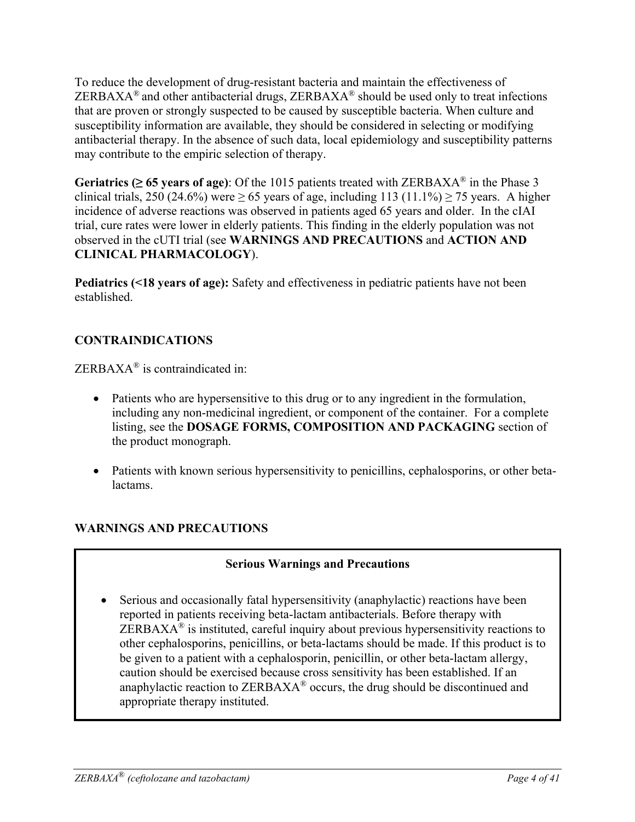To reduce the development of drug-resistant bacteria and maintain the effectiveness of  $ZERBAXA<sup>®</sup>$  and other antibacterial drugs,  $ZERBAXA<sup>®</sup>$  should be used only to treat infections that are proven or strongly suspected to be caused by susceptible bacteria. When culture and susceptibility information are available, they should be considered in selecting or modifying antibacterial therapy. In the absence of such data, local epidemiology and susceptibility patterns may contribute to the empiric selection of therapy.

**Geriatrics (** $\geq 65$  **years of age):** Of the 1015 patients treated with ZERBAXA<sup>®</sup> in the Phase 3 clinical trials, 250 (24.6%) were  $\geq$  65 years of age, including 113 (11.1%)  $\geq$  75 years. A higher incidence of adverse reactions was observed in patients aged 65 years and older. In the cIAI trial, cure rates were lower in elderly patients. This finding in the elderly population was not observed in the cUTI trial (see **WARNINGS AND PRECAUTIONS** and **ACTION AND CLINICAL PHARMACOLOGY**).

**Pediatrics (<18 years of age):** Safety and effectiveness in pediatric patients have not been established.

# **CONTRAINDICATIONS**

ZERBAXA® is contraindicated in:

- Patients who are hypersensitive to this drug or to any ingredient in the formulation, including any non-medicinal ingredient, or component of the container. For a complete listing, see the **DOSAGE FORMS, COMPOSITION AND PACKAGING** section of the product monograph.
- Patients with known serious hypersensitivity to penicillins, cephalosporins, or other betalactams.

### **WARNINGS AND PRECAUTIONS**

### **Serious Warnings and Precautions**

 Serious and occasionally fatal hypersensitivity (anaphylactic) reactions have been reported in patients receiving beta-lactam antibacterials. Before therapy with  $ZERBAXA<sup>®</sup>$  is instituted, careful inquiry about previous hypersensitivity reactions to other cephalosporins, penicillins, or beta-lactams should be made. If this product is to be given to a patient with a cephalosporin, penicillin, or other beta-lactam allergy, caution should be exercised because cross sensitivity has been established. If an anaphylactic reaction to ZERBAXA® occurs, the drug should be discontinued and appropriate therapy instituted.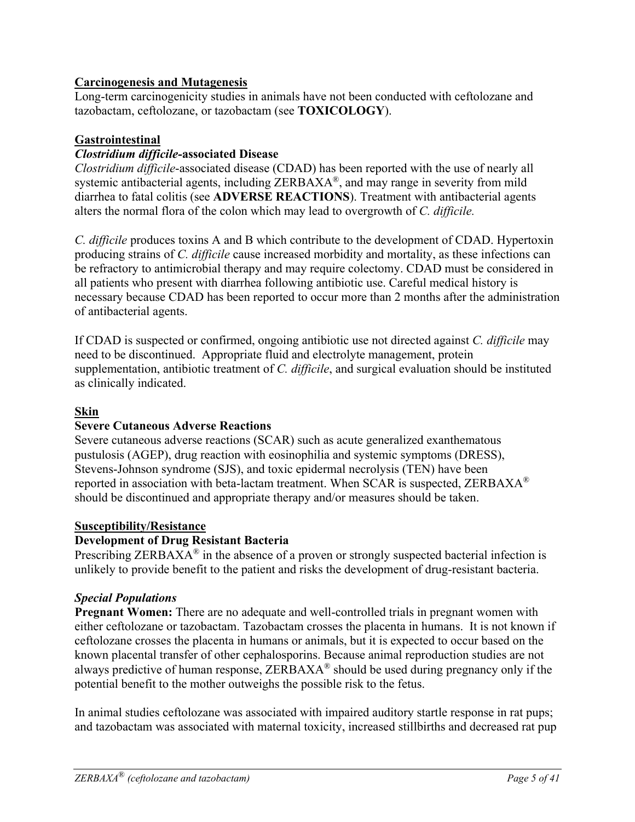### **Carcinogenesis and Mutagenesis**

Long-term carcinogenicity studies in animals have not been conducted with ceftolozane and tazobactam, ceftolozane, or tazobactam (see **TOXICOLOGY**).

### **Gastrointestinal**

### *Clostridium difficile-***associated Disease**

*Clostridium difficile*-associated disease (CDAD) has been reported with the use of nearly all systemic antibacterial agents, including ZERBAXA®, and may range in severity from mild diarrhea to fatal colitis (see **ADVERSE REACTIONS**). Treatment with antibacterial agents alters the normal flora of the colon which may lead to overgrowth of *C. difficile.*

*C. difficile* produces toxins A and B which contribute to the development of CDAD. Hypertoxin producing strains of *C. difficile* cause increased morbidity and mortality, as these infections can be refractory to antimicrobial therapy and may require colectomy. CDAD must be considered in all patients who present with diarrhea following antibiotic use. Careful medical history is necessary because CDAD has been reported to occur more than 2 months after the administration of antibacterial agents.

If CDAD is suspected or confirmed, ongoing antibiotic use not directed against *C. difficile* may need to be discontinued. Appropriate fluid and electrolyte management, protein supplementation, antibiotic treatment of *C. difficile*, and surgical evaluation should be instituted as clinically indicated.

#### **Skin**

#### **Severe Cutaneous Adverse Reactions**

Severe cutaneous adverse reactions (SCAR) such as acute generalized exanthematous pustulosis (AGEP), drug reaction with eosinophilia and systemic symptoms (DRESS), Stevens-Johnson syndrome (SJS), and toxic epidermal necrolysis (TEN) have been reported in association with beta-lactam treatment. When SCAR is suspected,  $\rm ZERBAXA^{\otimes}$ should be discontinued and appropriate therapy and/or measures should be taken.

#### **Susceptibility/Resistance**

#### **Development of Drug Resistant Bacteria**

Prescribing ZERBAXA<sup>®</sup> in the absence of a proven or strongly suspected bacterial infection is unlikely to provide benefit to the patient and risks the development of drug-resistant bacteria.

#### *Special Populations*

**Pregnant Women:** There are no adequate and well-controlled trials in pregnant women with either ceftolozane or tazobactam. Tazobactam crosses the placenta in humans. It is not known if ceftolozane crosses the placenta in humans or animals, but it is expected to occur based on the known placental transfer of other cephalosporins. Because animal reproduction studies are not always predictive of human response, ZERBAXA® should be used during pregnancy only if the potential benefit to the mother outweighs the possible risk to the fetus.

In animal studies ceftolozane was associated with impaired auditory startle response in rat pups; and tazobactam was associated with maternal toxicity, increased stillbirths and decreased rat pup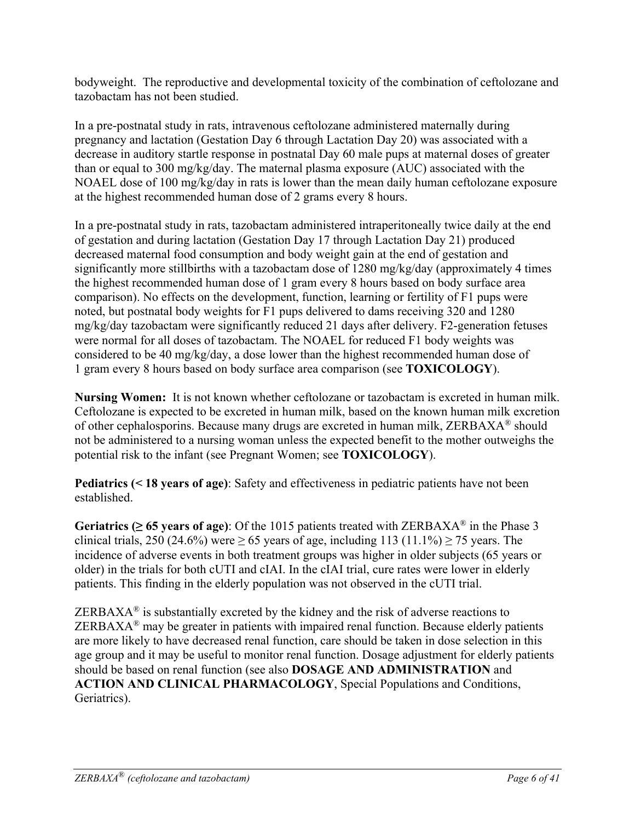bodyweight. The reproductive and developmental toxicity of the combination of ceftolozane and tazobactam has not been studied.

In a pre-postnatal study in rats, intravenous ceftolozane administered maternally during pregnancy and lactation (Gestation Day 6 through Lactation Day 20) was associated with a decrease in auditory startle response in postnatal Day 60 male pups at maternal doses of greater than or equal to 300 mg/kg/day. The maternal plasma exposure (AUC) associated with the NOAEL dose of 100 mg/kg/day in rats is lower than the mean daily human ceftolozane exposure at the highest recommended human dose of 2 grams every 8 hours.

In a pre-postnatal study in rats, tazobactam administered intraperitoneally twice daily at the end of gestation and during lactation (Gestation Day 17 through Lactation Day 21) produced decreased maternal food consumption and body weight gain at the end of gestation and significantly more stillbirths with a tazobactam dose of 1280 mg/kg/day (approximately 4 times the highest recommended human dose of 1 gram every 8 hours based on body surface area comparison). No effects on the development, function, learning or fertility of F1 pups were noted, but postnatal body weights for F1 pups delivered to dams receiving 320 and 1280 mg/kg/day tazobactam were significantly reduced 21 days after delivery. F2-generation fetuses were normal for all doses of tazobactam. The NOAEL for reduced F1 body weights was considered to be 40 mg/kg/day, a dose lower than the highest recommended human dose of 1 gram every 8 hours based on body surface area comparison (see **TOXICOLOGY**).

**Nursing Women:** It is not known whether ceftolozane or tazobactam is excreted in human milk. Ceftolozane is expected to be excreted in human milk, based on the known human milk excretion of other cephalosporins. Because many drugs are excreted in human milk, ZERBAXA® should not be administered to a nursing woman unless the expected benefit to the mother outweighs the potential risk to the infant (see Pregnant Women; see **TOXICOLOGY**).

**Pediatrics (***<* **18 years of age)**: Safety and effectiveness in pediatric patients have not been established.

**Geriatrics (** $\geq 65$  **years of age):** Of the 1015 patients treated with ZERBAXA<sup>®</sup> in the Phase 3 clinical trials, 250 (24.6%) were  $\geq$  65 years of age, including 113 (11.1%)  $\geq$  75 years. The incidence of adverse events in both treatment groups was higher in older subjects (65 years or older) in the trials for both cUTI and cIAI. In the cIAI trial, cure rates were lower in elderly patients. This finding in the elderly population was not observed in the cUTI trial.

 $ZERBAXA^{\circledast}$  is substantially excreted by the kidney and the risk of adverse reactions to  $ZERBAXA<sup>®</sup>$  may be greater in patients with impaired renal function. Because elderly patients are more likely to have decreased renal function, care should be taken in dose selection in this age group and it may be useful to monitor renal function. Dosage adjustment for elderly patients should be based on renal function (see also **DOSAGE AND ADMINISTRATION** and **ACTION AND CLINICAL PHARMACOLOGY**, Special Populations and Conditions, Geriatrics).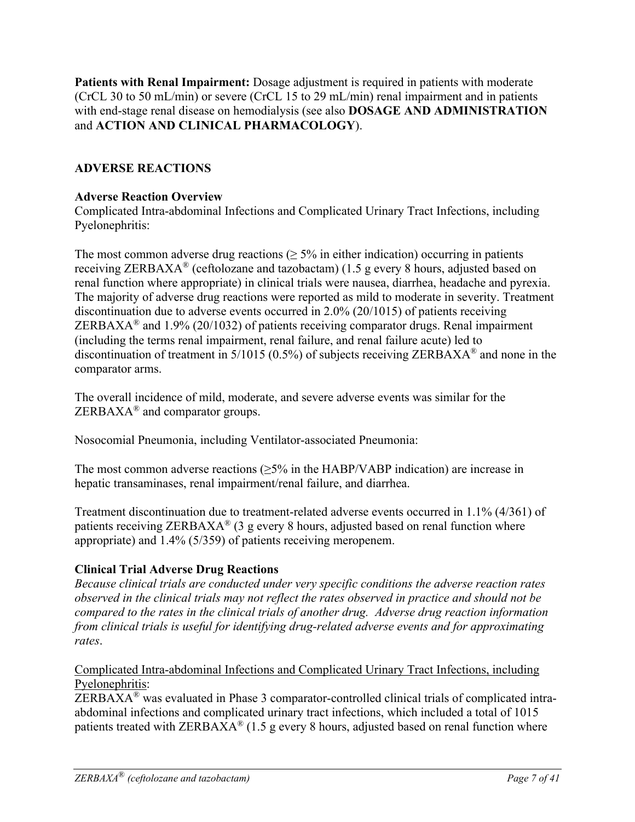**Patients with Renal Impairment:** Dosage adjustment is required in patients with moderate (CrCL 30 to 50 mL/min) or severe (CrCL 15 to 29 mL/min) renal impairment and in patients with end-stage renal disease on hemodialysis (see also **DOSAGE AND ADMINISTRATION** and **ACTION AND CLINICAL PHARMACOLOGY**).

### **ADVERSE REACTIONS**

### **Adverse Reaction Overview**

Complicated Intra-abdominal Infections and Complicated Urinary Tract Infections, including Pyelonephritis:

The most common adverse drug reactions  $(≥ 5\%$  in either indication) occurring in patients receiving ZERBAXA<sup>®</sup> (ceftolozane and tazobactam) (1.5 g every 8 hours, adjusted based on renal function where appropriate) in clinical trials were nausea, diarrhea, headache and pyrexia. The majority of adverse drug reactions were reported as mild to moderate in severity. Treatment discontinuation due to adverse events occurred in 2.0% (20/1015) of patients receiving ZERBAXA<sup>®</sup> and 1.9% (20/1032) of patients receiving comparator drugs. Renal impairment (including the terms renal impairment, renal failure, and renal failure acute) led to discontinuation of treatment in 5/1015 (0.5%) of subjects receiving ZERBAXA® and none in the comparator arms.

The overall incidence of mild, moderate, and severe adverse events was similar for the  $ZERBAXA^{\circledR}$  and comparator groups.

Nosocomial Pneumonia, including Ventilator-associated Pneumonia:

The most common adverse reactions  $(\geq 5\%$  in the HABP/VABP indication) are increase in hepatic transaminases, renal impairment/renal failure, and diarrhea.

Treatment discontinuation due to treatment-related adverse events occurred in 1.1% (4/361) of patients receiving ZERBAXA<sup>®</sup> (3 g every 8 hours, adjusted based on renal function where appropriate) and 1.4% (5/359) of patients receiving meropenem.

#### **Clinical Trial Adverse Drug Reactions**

*Because clinical trials are conducted under very specific conditions the adverse reaction rates observed in the clinical trials may not reflect the rates observed in practice and should not be compared to the rates in the clinical trials of another drug. Adverse drug reaction information from clinical trials is useful for identifying drug-related adverse events and for approximating rates*.

#### Complicated Intra-abdominal Infections and Complicated Urinary Tract Infections, including Pyelonephritis:

ZERBAXA® was evaluated in Phase 3 comparator-controlled clinical trials of complicated intraabdominal infections and complicated urinary tract infections, which included a total of 1015 patients treated with ZERBAXA<sup>®</sup> (1.5 g every 8 hours, adjusted based on renal function where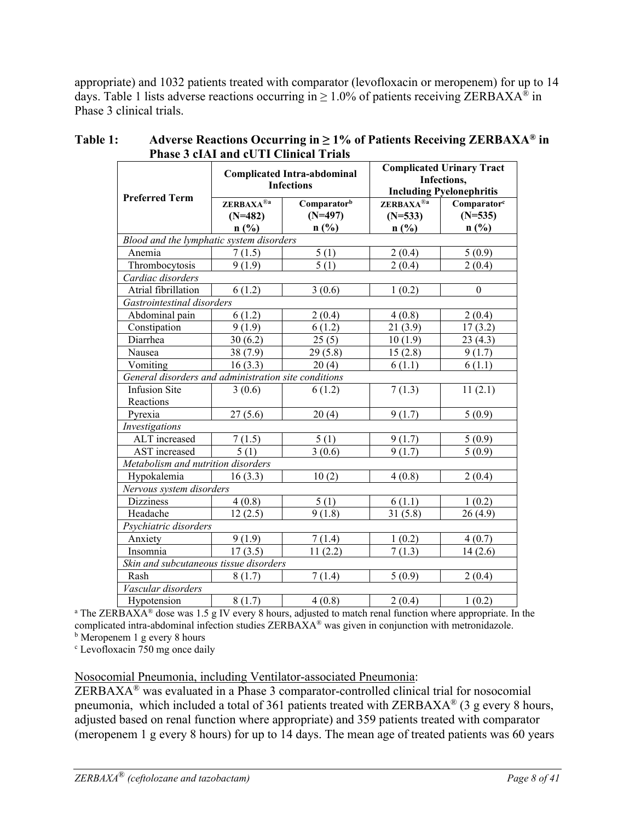appropriate) and 1032 patients treated with comparator (levofloxacin or meropenem) for up to 14 days. Table 1 lists adverse reactions occurring in  $\geq 1.0\%$  of patients receiving ZERBAXA<sup>®</sup> in Phase 3 clinical trials.

|                                                      | <b>Complicated Intra-abdominal</b><br><b>Infections</b> |                                  | <b>Complicated Urinary Tract</b><br>Infections,<br><b>Including Pyelonephritis</b> |                                                 |  |
|------------------------------------------------------|---------------------------------------------------------|----------------------------------|------------------------------------------------------------------------------------|-------------------------------------------------|--|
| <b>Preferred Term</b>                                | ZERBAXA <sup>®a</sup><br>$(N=482)$<br>n(%)              | Comparatorb<br>$(N=497)$<br>n(%) | ZERBAXA <sup>®a</sup><br>$(N=533)$<br>$n$ (%)                                      | Comparator <sup>c</sup><br>$(N=535)$<br>$n$ (%) |  |
| Blood and the lymphatic system disorders             |                                                         |                                  |                                                                                    |                                                 |  |
| Anemia                                               | 7(1.5)                                                  | 5(1)                             | 2(0.4)                                                                             | 5(0.9)                                          |  |
| Thrombocytosis                                       | 9(1.9)                                                  | $\overline{5}$ (1)               | 2(0.4)                                                                             | 2(0.4)                                          |  |
| Cardiac disorders                                    |                                                         |                                  |                                                                                    |                                                 |  |
| Atrial fibrillation                                  | 6(1.2)                                                  | 3(0.6)                           | 1(0.2)                                                                             | $\theta$                                        |  |
| Gastrointestinal disorders                           |                                                         |                                  |                                                                                    |                                                 |  |
| Abdominal pain                                       | 6(1.2)                                                  | 2(0.4)                           | 4(0.8)                                                                             | 2(0.4)                                          |  |
| Constipation                                         | 9(1.9)                                                  | 6(1.2)                           | 21(3.9)                                                                            | 17(3.2)                                         |  |
| Diarrhea                                             | 30(6.2)                                                 | 25(5)                            | 10(1.9)                                                                            | 23(4.3)                                         |  |
| Nausea                                               | 38(7.9)                                                 | 29(5.8)                          | 15(2.8)                                                                            | 9(1.7)                                          |  |
| Vomiting                                             | 16(3.3)                                                 | 20(4)                            | 6(1.1)                                                                             | 6(1.1)                                          |  |
| General disorders and administration site conditions |                                                         |                                  |                                                                                    |                                                 |  |
| <b>Infusion Site</b>                                 | 3(0.6)                                                  | 6(1.2)                           | 7(1.3)                                                                             | 11(2.1)                                         |  |
| Reactions                                            |                                                         |                                  |                                                                                    |                                                 |  |
| Pyrexia                                              | 27(5.6)                                                 | 20(4)                            | 9(1.7)                                                                             | 5(0.9)                                          |  |
| Investigations                                       |                                                         |                                  |                                                                                    |                                                 |  |
| ALT increased                                        | 7(1.5)                                                  | 5(1)                             | 9(1.7)                                                                             | 5(0.9)                                          |  |
| AST increased                                        | 5(1)                                                    | 3(0.6)                           | 9(1.7)                                                                             | 5(0.9)                                          |  |
| Metabolism and nutrition disorders                   |                                                         |                                  |                                                                                    |                                                 |  |
| Hypokalemia                                          | 16(3.3)                                                 | 10(2)                            | 4(0.8)                                                                             | 2(0.4)                                          |  |
| Nervous system disorders                             |                                                         |                                  |                                                                                    |                                                 |  |
| <b>Dizziness</b>                                     | 4(0.8)                                                  | 5(1)                             | 6(1.1)                                                                             | 1(0.2)                                          |  |
| Headache                                             | 12(2.5)                                                 | 9(1.8)                           | 31(5.8)                                                                            | 26(4.9)                                         |  |
| Psychiatric disorders                                |                                                         |                                  |                                                                                    |                                                 |  |
| Anxiety                                              | 9(1.9)                                                  | 7(1.4)                           | 1(0.2)                                                                             | 4(0.7)                                          |  |
| Insomnia                                             | 17(3.5)                                                 | 11(2.2)                          | 7(1.3)                                                                             | 14(2.6)                                         |  |
| Skin and subcutaneous tissue disorders               |                                                         |                                  |                                                                                    |                                                 |  |
| Rash                                                 | 8(1.7)                                                  | 7(1.4)                           | 5(0.9)                                                                             | 2(0.4)                                          |  |
| Vascular disorders                                   |                                                         |                                  |                                                                                    |                                                 |  |
| Hypotension                                          | 8(1.7)                                                  | 4(0.8)                           | 2(0.4)                                                                             | 1(0.2)                                          |  |

#### **Table 1: Adverse Reactions Occurring in ≥ 1% of Patients Receiving ZERBAXA® in Phase 3 cIAI and cUTI Clinical Trials**

 $\frac{\text{Hypotension}}{\text{a The ZERBAXA}^{\text{a}} \text{ dose was } 1.5 \text{ g IV every 8 hours, adjusted to match renal function where appropriate. In the$ complicated intra-abdominal infection studies ZERBAXA® was given in conjunction with metronidazole.

<sup>b</sup> Meropenem 1 g every 8 hours

c Levofloxacin 750 mg once daily

Nosocomial Pneumonia, including Ventilator-associated Pneumonia:

ZERBAXA® was evaluated in a Phase 3 comparator-controlled clinical trial for nosocomial pneumonia, which included a total of 361 patients treated with  $ZERBAXA^{\circledcirc}$  (3 g every 8 hours, adjusted based on renal function where appropriate) and 359 patients treated with comparator (meropenem 1 g every 8 hours) for up to 14 days. The mean age of treated patients was 60 years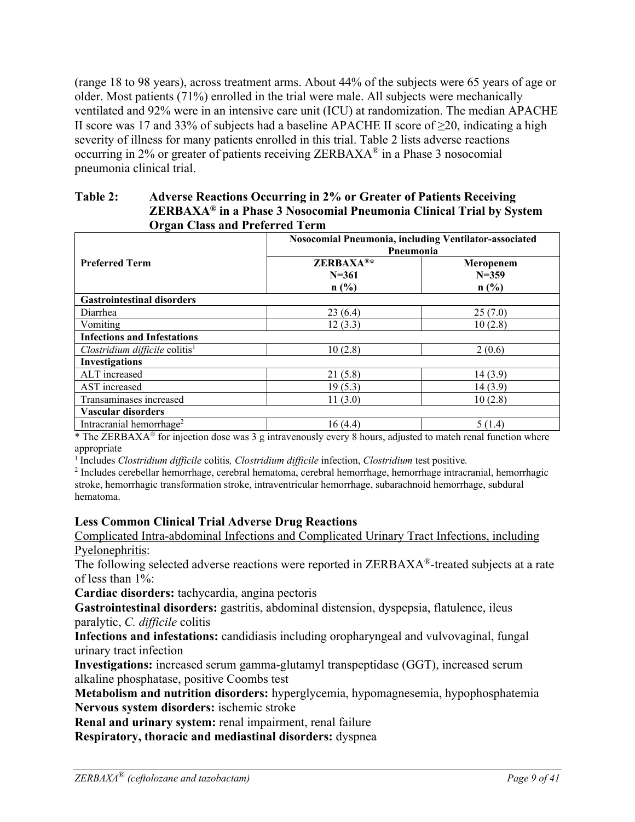(range 18 to 98 years), across treatment arms. About 44% of the subjects were 65 years of age or older. Most patients (71%) enrolled in the trial were male. All subjects were mechanically ventilated and 92% were in an intensive care unit (ICU) at randomization. The median APACHE II score was 17 and 33% of subjects had a baseline APACHE II score of  $\geq$ 20, indicating a high severity of illness for many patients enrolled in this trial. Table 2 lists adverse reactions occurring in 2% or greater of patients receiving ZERBAXA® in a Phase 3 nosocomial pneumonia clinical trial.

#### **Table 2: Adverse Reactions Occurring in 2% or Greater of Patients Receiving ZERBAXA® in a Phase 3 Nosocomial Pneumonia Clinical Trial by System Organ Class and Preferred Term**

|                                                   | Nosocomial Pneumonia, including Ventilator-associated<br>Pneumonia               |                                |  |  |
|---------------------------------------------------|----------------------------------------------------------------------------------|--------------------------------|--|--|
| <b>Preferred Term</b>                             | ZERBAXA®*<br>$N = 361$<br>n(%)                                                   | Meropenem<br>$N = 359$<br>n(%) |  |  |
| <b>Gastrointestinal disorders</b>                 |                                                                                  |                                |  |  |
| Diarrhea                                          | 23(6.4)                                                                          | 25(7.0)                        |  |  |
| Vomiting                                          | 12(3.3)                                                                          | 10(2.8)                        |  |  |
| <b>Infections and Infestations</b>                |                                                                                  |                                |  |  |
| Clostridium difficile colitis <sup>1</sup>        | 10(2.8)                                                                          | 2(0.6)                         |  |  |
| <b>Investigations</b>                             |                                                                                  |                                |  |  |
| ALT increased                                     | 21(5.8)                                                                          | 14(3.9)                        |  |  |
| AST increased                                     | 19(5.3)                                                                          | 14(3.9)                        |  |  |
| Transaminases increased                           | 11(3.0)                                                                          | 10(2.8)                        |  |  |
| Vascular disorders                                |                                                                                  |                                |  |  |
| Intracranial hemorrhage <sup>2</sup><br>$-1$ $-1$ | 16(4.4)<br>the contract of the contract of the<br>$\sim$ $\sim$<br>$\sim$ $\sim$ | 5(1.4)<br>$\sim$ $\sim$ $\sim$ |  |  |

\* The ZERBAXA® for injection dose was 3 g intravenously every 8 hours, adjusted to match renal function where appropriate

<sup>1</sup> Includes *Clostridium difficile* colitis*, Clostridium difficile* infection, *Clostridium* test positive*.* 

<sup>2</sup> Includes cerebellar hemorrhage, cerebral hematoma, cerebral hemorrhage, hemorrhage intracranial, hemorrhagic stroke, hemorrhagic transformation stroke, intraventricular hemorrhage, subarachnoid hemorrhage, subdural hematoma.

#### **Less Common Clinical Trial Adverse Drug Reactions**

Complicated Intra-abdominal Infections and Complicated Urinary Tract Infections, including Pyelonephritis:

The following selected adverse reactions were reported in ZERBAXA<sup>®</sup>-treated subjects at a rate of less than 1%:

**Cardiac disorders:** tachycardia, angina pectoris

**Gastrointestinal disorders:** gastritis, abdominal distension, dyspepsia, flatulence, ileus paralytic, *C. difficile* colitis

**Infections and infestations:** candidiasis including oropharyngeal and vulvovaginal, fungal urinary tract infection

**Investigations:** increased serum gamma-glutamyl transpeptidase (GGT), increased serum alkaline phosphatase, positive Coombs test

**Metabolism and nutrition disorders:** hyperglycemia, hypomagnesemia, hypophosphatemia **Nervous system disorders:** ischemic stroke

**Renal and urinary system:** renal impairment, renal failure

**Respiratory, thoracic and mediastinal disorders:** dyspnea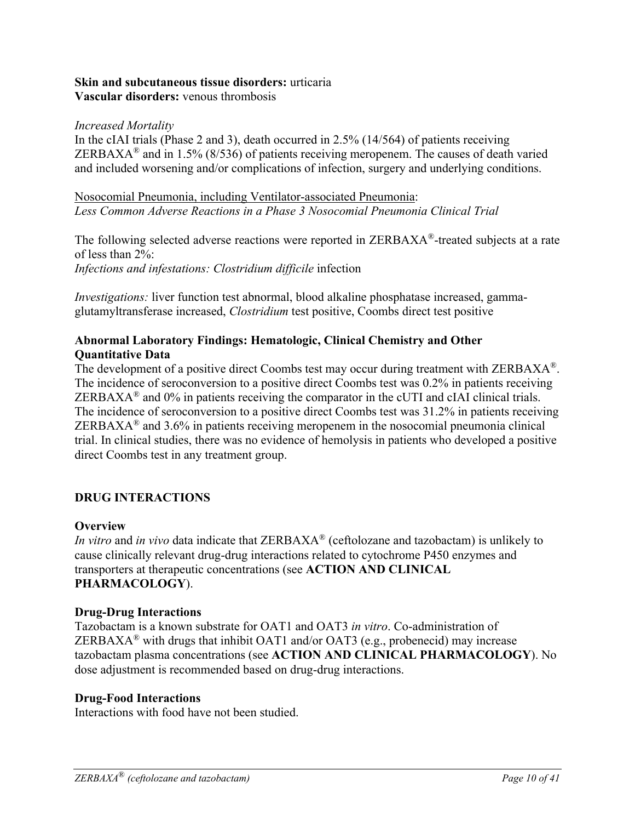#### **Skin and subcutaneous tissue disorders:** urticaria **Vascular disorders:** venous thrombosis

#### *Increased Mortality*

In the cIAI trials (Phase 2 and 3), death occurred in 2.5% (14/564) of patients receiving ZERBAXA<sup>®</sup> and in 1.5% (8/536) of patients receiving meropenem. The causes of death varied and included worsening and/or complications of infection, surgery and underlying conditions.

#### Nosocomial Pneumonia, including Ventilator-associated Pneumonia: *Less Common Adverse Reactions in a Phase 3 Nosocomial Pneumonia Clinical Trial*

The following selected adverse reactions were reported in ZERBAXA®-treated subjects at a rate of less than 2%: *Infections and infestations: Clostridium difficile* infection

*Investigations:* liver function test abnormal, blood alkaline phosphatase increased, gammaglutamyltransferase increased, *Clostridium* test positive, Coombs direct test positive

### **Abnormal Laboratory Findings: Hematologic, Clinical Chemistry and Other Quantitative Data**

The development of a positive direct Coombs test may occur during treatment with ZERBAXA<sup>®</sup>. The incidence of seroconversion to a positive direct Coombs test was 0.2% in patients receiving ZERBAX $A^{\otimes}$  and 0% in patients receiving the comparator in the cUTI and cIAI clinical trials. The incidence of seroconversion to a positive direct Coombs test was 31.2% in patients receiving  $ZERBAXA<sup>®</sup>$  and 3.6% in patients receiving meropenem in the nosocomial pneumonia clinical trial. In clinical studies, there was no evidence of hemolysis in patients who developed a positive direct Coombs test in any treatment group.

### **DRUG INTERACTIONS**

#### **Overview**

*In vitro* and *in vivo* data indicate that ZERBAXA® (ceftolozane and tazobactam) is unlikely to cause clinically relevant drug-drug interactions related to cytochrome P450 enzymes and transporters at therapeutic concentrations (see **ACTION AND CLINICAL PHARMACOLOGY**).

#### **Drug-Drug Interactions**

Tazobactam is a known substrate for OAT1 and OAT3 *in vitro*. Co-administration of ZERBAXA<sup>®</sup> with drugs that inhibit OAT1 and/or OAT3 (e.g., probenecid) may increase tazobactam plasma concentrations (see **ACTION AND CLINICAL PHARMACOLOGY**). No dose adjustment is recommended based on drug-drug interactions.

#### **Drug-Food Interactions**

Interactions with food have not been studied.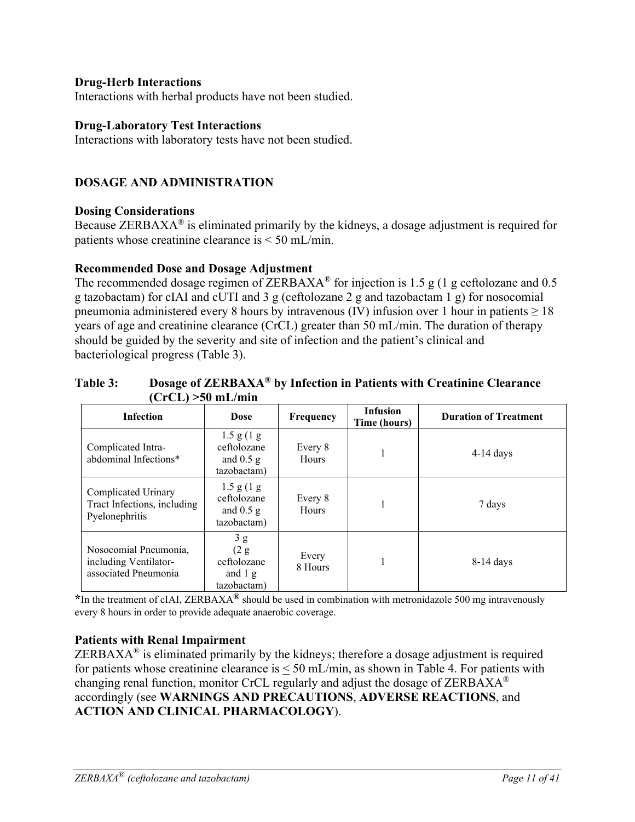#### **Drug-Herb Interactions**

Interactions with herbal products have not been studied.

#### **Drug-Laboratory Test Interactions**

Interactions with laboratory tests have not been studied.

### **DOSAGE AND ADMINISTRATION**

#### **Dosing Considerations**

Because ZERBAX $A^{\otimes}$  is eliminated primarily by the kidneys, a dosage adjustment is required for patients whose creatinine clearance is < 50 mL/min.

#### **Recommended Dose and Dosage Adjustment**

The recommended dosage regimen of ZERBAXA<sup>®</sup> for injection is 1.5 g (1 g ceftolozane and 0.5 g tazobactam) for cIAI and cUTI and 3 g (ceftolozane 2 g and tazobactam 1 g) for nosocomial pneumonia administered every 8 hours by intravenous (IV) infusion over 1 hour in patients  $\geq 18$ years of age and creatinine clearance (CrCL) greater than 50 mL/min. The duration of therapy should be guided by the severity and site of infection and the patient's clinical and bacteriological progress (Table 3).

#### **Table 3: Dosage of ZERBAXA® by Infection in Patients with Creatinine Clearance (CrCL) >50 mL/min**

| <b>Infection</b>                                                       | <b>Dose</b>                                                      | <b>Frequency</b> | <b>Infusion</b><br>Time (hours) | <b>Duration of Treatment</b> |
|------------------------------------------------------------------------|------------------------------------------------------------------|------------------|---------------------------------|------------------------------|
| Complicated Intra-<br>abdominal Infections*                            | $1.5$ g $(1$ g<br>ceftolozane<br>and $0.5$ g<br>tazobactam)      | Every 8<br>Hours |                                 | $4-14$ days                  |
| Complicated Urinary<br>Tract Infections, including<br>Pyelonephritis   | $1.5$ g $(1)$ g<br>ceftolozane<br>and $0.5$ g<br>tazobactam)     | Every 8<br>Hours |                                 | 7 days                       |
| Nosocomial Pneumonia,<br>including Ventilator-<br>associated Pneumonia | 3g<br>(2 g)<br>ceftolozane<br>and $1\,\mathrm{g}$<br>tazobactam) | Every<br>8 Hours |                                 | $8-14$ days                  |

**\***In the treatment of cIAI, ZERBAXA**®** should be used in combination with metronidazole 500 mg intravenously every 8 hours in order to provide adequate anaerobic coverage.

#### **Patients with Renal Impairment**

ZERBAX $A^{\circledR}$  is eliminated primarily by the kidneys; therefore a dosage adjustment is required for patients whose creatinine clearance is  $\leq 50$  mL/min, as shown in Table 4. For patients with changing renal function, monitor CrCL regularly and adjust the dosage of ZERBAXA® accordingly (see **WARNINGS AND PRECAUTIONS**, **ADVERSE REACTIONS**, and **ACTION AND CLINICAL PHARMACOLOGY**).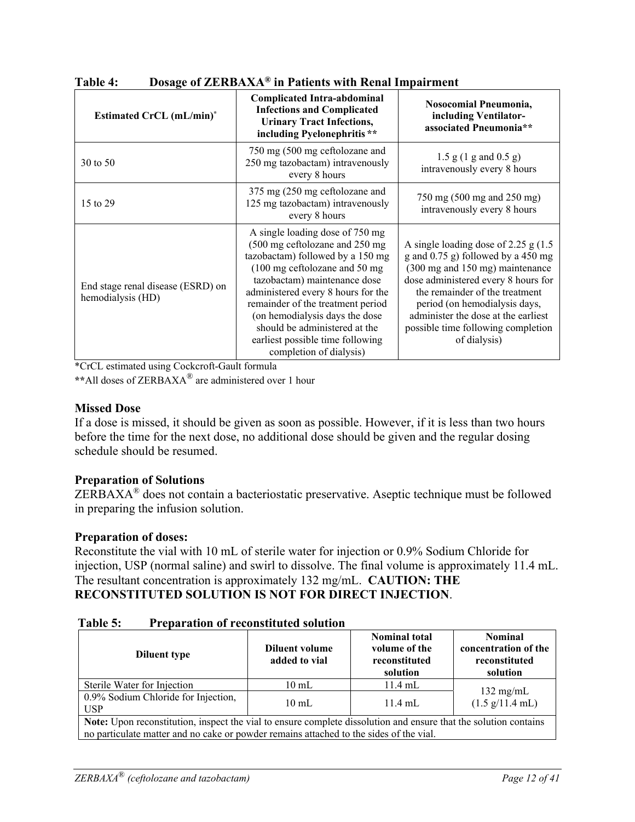| <b>Estimated CrCL (mL/min)<sup>*</sup></b>             | <b>Complicated Intra-abdominal</b><br><b>Infections and Complicated</b><br><b>Urinary Tract Infections,</b>                                                                                                                                                                                                                                                                                   | Nosocomial Pneumonia,<br>including Ventilator-<br>associated Pneumonia**                                                                                                                                                                                                                                                 |  |
|--------------------------------------------------------|-----------------------------------------------------------------------------------------------------------------------------------------------------------------------------------------------------------------------------------------------------------------------------------------------------------------------------------------------------------------------------------------------|--------------------------------------------------------------------------------------------------------------------------------------------------------------------------------------------------------------------------------------------------------------------------------------------------------------------------|--|
| 30 to 50                                               | including Pyelonephritis**<br>750 mg (500 mg ceftolozane and<br>250 mg tazobactam) intravenously<br>every 8 hours                                                                                                                                                                                                                                                                             | $1.5 \text{ g} (1 \text{ g and } 0.5 \text{ g})$<br>intravenously every 8 hours                                                                                                                                                                                                                                          |  |
| 15 to 29                                               | 375 mg (250 mg ceftolozane and<br>125 mg tazobactam) intravenously<br>every 8 hours                                                                                                                                                                                                                                                                                                           | 750 mg (500 mg and 250 mg)<br>intravenously every 8 hours                                                                                                                                                                                                                                                                |  |
| End stage renal disease (ESRD) on<br>hemodialysis (HD) | A single loading dose of 750 mg<br>(500 mg ceftolozane and 250 mg<br>tazobactam) followed by a 150 mg<br>$(100 \text{ mg}$ ceftolozane and 50 mg<br>tazobactam) maintenance dose<br>administered every 8 hours for the<br>remainder of the treatment period<br>(on hemodialysis days the dose<br>should be administered at the<br>earliest possible time following<br>completion of dialysis) | A single loading dose of 2.25 g $(1.5$<br>g and $0.75$ g) followed by a 450 mg<br>(300 mg and 150 mg) maintenance<br>dose administered every 8 hours for<br>the remainder of the treatment<br>period (on hemodialysis days,<br>administer the dose at the earliest<br>possible time following completion<br>of dialysis) |  |

**Table 4: Dosage of ZERBAXA® in Patients with Renal Impairment** 

\*CrCL estimated using Cockcroft-Gault formula

**\*\***All doses of ZERBAXA® are administered over 1 hour

#### **Missed Dose**

If a dose is missed, it should be given as soon as possible. However, if it is less than two hours before the time for the next dose, no additional dose should be given and the regular dosing schedule should be resumed.

#### **Preparation of Solutions**

ZERBAXA® does not contain a bacteriostatic preservative. Aseptic technique must be followed in preparing the infusion solution.

### **Preparation of doses:**

Reconstitute the vial with 10 mL of sterile water for injection or 0.9% Sodium Chloride for injection, USP (normal saline) and swirl to dissolve. The final volume is approximately 11.4 mL. The resultant concentration is approximately 132 mg/mL. **CAUTION: THE RECONSTITUTED SOLUTION IS NOT FOR DIRECT INJECTION**.

| Table 5: | <b>Preparation of reconstituted solution</b> |
|----------|----------------------------------------------|
|          |                                              |

| <b>Diluent type</b>                                                                                              | Diluent volume<br>added to vial | <b>Nominal total</b><br>volume of the<br>reconstituted<br>solution | <b>Nominal</b><br>concentration of the<br>reconstituted<br>solution |  |
|------------------------------------------------------------------------------------------------------------------|---------------------------------|--------------------------------------------------------------------|---------------------------------------------------------------------|--|
| Sterile Water for Injection                                                                                      | $10 \text{ mL}$                 | $11.4$ mL                                                          |                                                                     |  |
| 0.9% Sodium Chloride for Injection,<br><b>USP</b>                                                                | $10 \text{ mL}$                 | $11.4$ mL                                                          | $132 \text{ mg/mL}$<br>$(1.5 \text{ g}/11.4 \text{ mL})$            |  |
| Note: Upon reconstitution, inspect the vial to ensure complete dissolution and ensure that the solution contains |                                 |                                                                    |                                                                     |  |
| no particulate matter and no cake or powder remains attached to the sides of the vial.                           |                                 |                                                                    |                                                                     |  |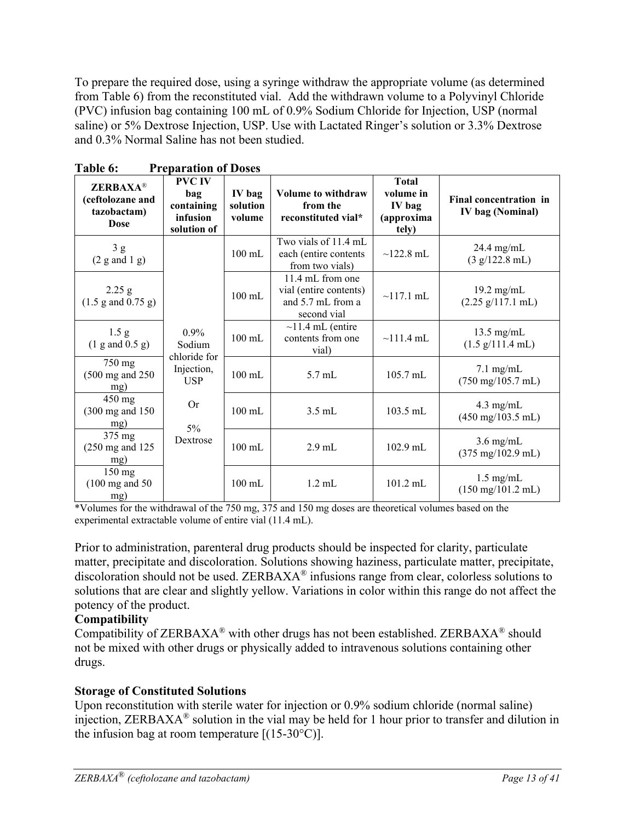To prepare the required dose, using a syringe withdraw the appropriate volume (as determined from Table 6) from the reconstituted vial. Add the withdrawn volume to a Polyvinyl Chloride (PVC) infusion bag containing 100 mL of 0.9% Sodium Chloride for Injection, USP (normal saline) or 5% Dextrose Injection, USP. Use with Lactated Ringer's solution or 3.3% Dextrose and 0.3% Normal Saline has not been studied.

| <b>ZERBAXA®</b><br>(ceftolozane and<br>tazobactam)<br><b>Dose</b> | <b>PVC IV</b><br>bag<br>containing<br>infusion<br>solution of | IV bag<br>solution<br>volume | <b>Volume to withdraw</b><br>from the<br>reconstituted vial*                   | <b>Total</b><br>volume in<br>IV bag<br>(approxima<br>tely) | Final concentration in<br>IV bag (Nominal)                  |
|-------------------------------------------------------------------|---------------------------------------------------------------|------------------------------|--------------------------------------------------------------------------------|------------------------------------------------------------|-------------------------------------------------------------|
| 3g<br>$(2 \text{ g and } 1 \text{ g})$                            |                                                               | $100 \text{ mL}$             | Two vials of 11.4 mL<br>each (entire contents<br>from two vials)               | $\sim$ 122.8 mL                                            | $24.4$ mg/mL<br>(3 g/122.8 mL)                              |
| 2.25 g<br>$(1.5 \text{ g and } 0.75 \text{ g})$                   |                                                               | $100$ mL                     | 11.4 mL from one<br>vial (entire contents)<br>and 5.7 mL from a<br>second vial | $\sim$ 117.1 mL                                            | $19.2 \text{ mg/mL}$<br>$(2.25 \text{ g}/117.1 \text{ mL})$ |
| 1.5 g<br>$(1$ g and $0.5$ g)                                      | $0.9\%$<br>Sodium                                             | $100$ mL                     | $\sim$ 11.4 mL (entire<br>contents from one<br>vial)                           | $\sim$ 111.4 mL                                            | $13.5 \text{ mg/mL}$<br>$(1.5 \text{ g}/111.4 \text{ mL})$  |
| 750 mg<br>$(500 \text{ mg and } 250)$<br>mg)                      | chloride for<br>Injection,<br><b>USP</b>                      | $100 \text{ mL}$             | $5.7 \text{ mL}$                                                               | 105.7 mL                                                   | $7.1 \text{ mg/mL}$<br>$(750 \text{ mg}/105.7 \text{ mL})$  |
| $450$ mg<br>(300 mg and 150)<br>mg)                               | <b>Or</b><br>$5\%$                                            | $100 \text{ mL}$             | $3.5$ mL                                                                       | $103.5$ mL                                                 | $4.3$ mg/mL<br>$(450 \text{ mg}/103.5 \text{ mL})$          |
| 375 mg<br>$(250 \text{ mg and } 125)$<br>mg)                      | Dextrose                                                      | $100 \text{ mL}$             | $2.9$ mL                                                                       | $102.9$ mL                                                 | $3.6$ mg/mL<br>$(375 \text{ mg}/102.9 \text{ mL})$          |
| 150 mg<br>$(100 \text{ mg and } 50)$<br>mg)                       |                                                               | $100 \text{ mL}$             | $1.2$ mL                                                                       | $101.2$ mL                                                 | $1.5$ mg/mL<br>$(150 \text{ mg}/101.2 \text{ mL})$          |

**Table 6: Preparation of Doses** 

\*Volumes for the withdrawal of the 750 mg, 375 and 150 mg doses are theoretical volumes based on the experimental extractable volume of entire vial (11.4 mL).

Prior to administration, parenteral drug products should be inspected for clarity, particulate matter, precipitate and discoloration. Solutions showing haziness, particulate matter, precipitate, discoloration should not be used. ZERBAXA® infusions range from clear, colorless solutions to solutions that are clear and slightly yellow. Variations in color within this range do not affect the potency of the product.

### **Compatibility**

Compatibility of ZERBAXA® with other drugs has not been established. ZERBAXA® should not be mixed with other drugs or physically added to intravenous solutions containing other drugs.

### **Storage of Constituted Solutions**

Upon reconstitution with sterile water for injection or 0.9% sodium chloride (normal saline) injection, ZERBAXA® solution in the vial may be held for 1 hour prior to transfer and dilution in the infusion bag at room temperature  $[(15-30^{\circ}C)].$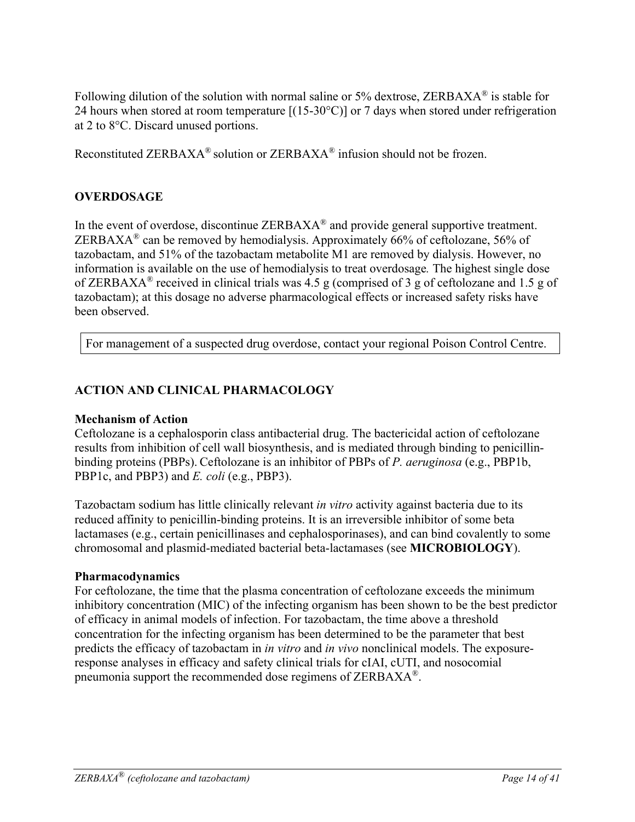Following dilution of the solution with normal saline or 5% dextrose, ZERBAXA<sup>®</sup> is stable for 24 hours when stored at room temperature  $[(15-30^{\circ}\text{C})]$  or 7 days when stored under refrigeration at 2 to 8°C. Discard unused portions.

Reconstituted ZERBAXA® solution or ZERBAXA® infusion should not be frozen.

### **OVERDOSAGE**

In the event of overdose, discontinue  $ZERBAXA^{\circledast}$  and provide general supportive treatment. ZERBAXA<sup>®</sup> can be removed by hemodialysis. Approximately 66% of ceftolozane, 56% of tazobactam, and 51% of the tazobactam metabolite M1 are removed by dialysis. However, no information is available on the use of hemodialysis to treat overdosage*.* The highest single dose of ZERBAXA® received in clinical trials was 4.5 g (comprised of 3 g of ceftolozane and 1.5 g of tazobactam); at this dosage no adverse pharmacological effects or increased safety risks have been observed.

For management of a suspected drug overdose, contact your regional Poison Control Centre.

### **ACTION AND CLINICAL PHARMACOLOGY**

#### **Mechanism of Action**

Ceftolozane is a cephalosporin class antibacterial drug. The bactericidal action of ceftolozane results from inhibition of cell wall biosynthesis, and is mediated through binding to penicillinbinding proteins (PBPs). Ceftolozane is an inhibitor of PBPs of *P. aeruginosa* (e.g., PBP1b, PBP1c, and PBP3) and *E. coli* (e.g., PBP3).

Tazobactam sodium has little clinically relevant *in vitro* activity against bacteria due to its reduced affinity to penicillin-binding proteins. It is an irreversible inhibitor of some beta lactamases (e.g., certain penicillinases and cephalosporinases), and can bind covalently to some chromosomal and plasmid-mediated bacterial beta-lactamases (see **MICROBIOLOGY**).

#### **Pharmacodynamics**

For ceftolozane, the time that the plasma concentration of ceftolozane exceeds the minimum inhibitory concentration (MIC) of the infecting organism has been shown to be the best predictor of efficacy in animal models of infection. For tazobactam, the time above a threshold concentration for the infecting organism has been determined to be the parameter that best predicts the efficacy of tazobactam in *in vitro* and *in vivo* nonclinical models. The exposureresponse analyses in efficacy and safety clinical trials for cIAI, cUTI, and nosocomial pneumonia support the recommended dose regimens of ZERBAXA®.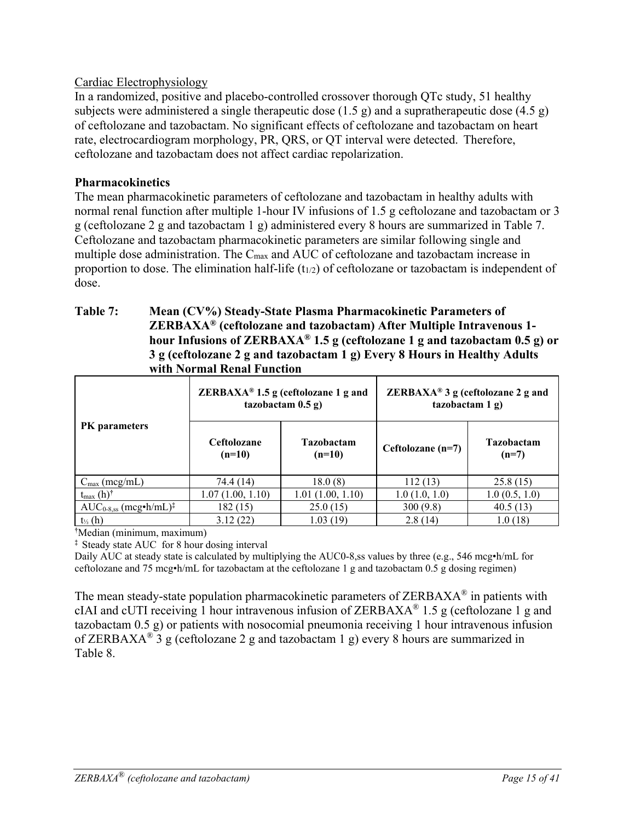### Cardiac Electrophysiology

In a randomized, positive and placebo-controlled crossover thorough QTc study, 51 healthy subjects were administered a single therapeutic dose  $(1.5 \text{ g})$  and a supratherapeutic dose  $(4.5 \text{ g})$ of ceftolozane and tazobactam. No significant effects of ceftolozane and tazobactam on heart rate, electrocardiogram morphology, PR, QRS, or QT interval were detected. Therefore, ceftolozane and tazobactam does not affect cardiac repolarization.

### **Pharmacokinetics**

The mean pharmacokinetic parameters of ceftolozane and tazobactam in healthy adults with normal renal function after multiple 1-hour IV infusions of 1.5 g ceftolozane and tazobactam or 3 g (ceftolozane 2 g and tazobactam 1 g) administered every 8 hours are summarized in Table 7. Ceftolozane and tazobactam pharmacokinetic parameters are similar following single and multiple dose administration. The Cmax and AUC of ceftolozane and tazobactam increase in proportion to dose. The elimination half-life  $(t_{1/2})$  of ceftolozane or tazobactam is independent of dose.

#### **Table 7: Mean (CV%) Steady-State Plasma Pharmacokinetic Parameters of ZERBAXA® (ceftolozane and tazobactam) After Multiple Intravenous 1 hour Infusions of ZERBAXA® 1.5 g (ceftolozane 1 g and tazobactam 0.5 g) or 3 g (ceftolozane 2 g and tazobactam 1 g) Every 8 Hours in Healthy Adults with Normal Renal Function**

|                                        |                                | ZERBAXA <sup>®</sup> 1.5 g (ceftolozane 1 g and<br>tazobactam $0.5$ g) | ZERBAXA® 3 g (ceftolozane 2 g and<br>taxobactam 1 g) |                              |  |
|----------------------------------------|--------------------------------|------------------------------------------------------------------------|------------------------------------------------------|------------------------------|--|
| <b>PK</b> parameters                   | <b>Ceftolozane</b><br>$(n=10)$ | <b>Tazobactam</b><br>$(n=10)$                                          | Ceftolozane (n=7)                                    | <b>Tazobactam</b><br>$(n=7)$ |  |
| $C_{\text{max}}$ (mcg/mL)              | 74.4 (14)                      | 18.0(8)                                                                | 112(13)                                              | 25.8(15)                     |  |
| $t_{\text{max}}$ (h) <sup>†</sup>      | 1.07(1.00, 1.10)               | 1.01(1.00, 1.10)                                                       | 1.0(1.0, 1.0)                                        | 1.0(0.5, 1.0)                |  |
| $AUC_{0.8,ss}$ (mcg•h/mL) <sup>‡</sup> | 182(15)                        | 25.0(15)                                                               | 300(9.8)                                             | 40.5(13)                     |  |
| $t_{\frac{1}{2}}(h)$                   | 3.12(22)                       | 1.03 (19)                                                              | 2.8(14)                                              | 1.0(18)                      |  |

**†** Median (minimum, maximum)

**‡** Steady state AUC for 8 hour dosing interval

Daily AUC at steady state is calculated by multiplying the AUC0-8,ss values by three (e.g., 546 mcg•h/mL for ceftolozane and 75 mcg•h/mL for tazobactam at the ceftolozane 1 g and tazobactam 0.5 g dosing regimen)

The mean steady-state population pharmacokinetic parameters of  $ZERBAXA^{\circledast}$  in patients with cIAI and cUTI receiving 1 hour intravenous infusion of ZERBAXA<sup>®</sup> 1.5 g (ceftolozane 1 g and tazobactam 0.5 g) or patients with nosocomial pneumonia receiving 1 hour intravenous infusion of ZERBAXA® 3 g (ceftolozane 2 g and tazobactam 1 g) every 8 hours are summarized in Table 8.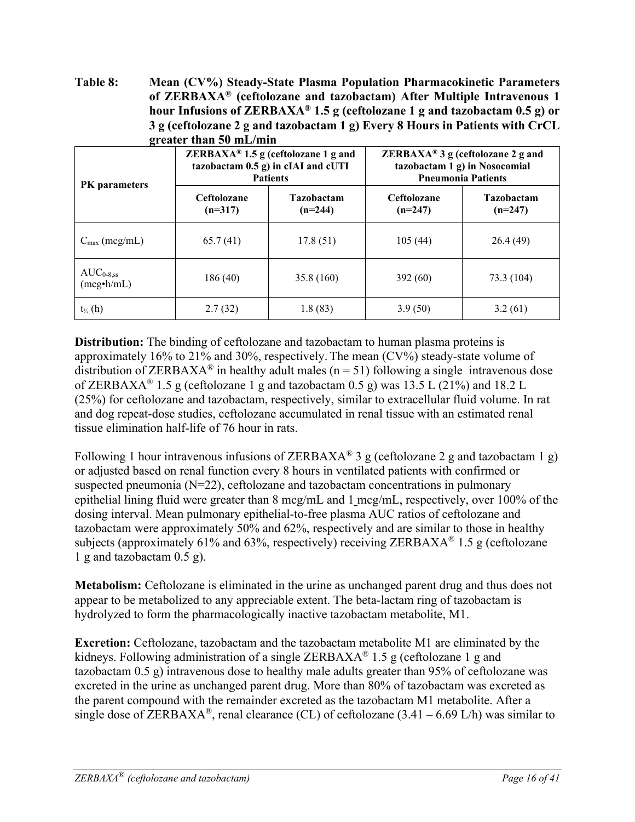**Table 8: Mean (CV%) Steady-State Plasma Population Pharmacokinetic Parameters of ZERBAXA® (ceftolozane and tazobactam) After Multiple Intravenous 1 hour Infusions of ZERBAXA® 1.5 g (ceftolozane 1 g and tazobactam 0.5 g) or 3 g (ceftolozane 2 g and tazobactam 1 g) Every 8 Hours in Patients with CrCL greater than 50 mL/min** 

| $\overline{ }$<br><b>PK</b> parameters |                                 | <b>ZERBAXA<sup>®</sup> 1.5</b> g (ceftolozane 1 g and<br>tazobactam 0.5 g) in cIAI and cUTI<br><b>Patients</b> | ZERBAXA <sup>®</sup> 3 g (ceftolozane 2 g and<br>tazobactam 1 g) in Nosocomial<br><b>Pneumonia Patients</b> |                                |  |
|----------------------------------------|---------------------------------|----------------------------------------------------------------------------------------------------------------|-------------------------------------------------------------------------------------------------------------|--------------------------------|--|
|                                        | <b>Ceftolozane</b><br>$(n=317)$ | <b>Tazobactam</b><br>$(n=244)$                                                                                 | <b>Ceftolozane</b><br>$(n=247)$                                                                             | <b>Tazobactam</b><br>$(n=247)$ |  |
| $C_{\text{max}}$ (mcg/mL)              | 65.7(41)                        | 17.8(51)                                                                                                       | 105(44)                                                                                                     | 26.4(49)                       |  |
| $AUC_{0.8,ss}$<br>(mcg•h/mL)           | 186(40)                         | 35.8(160)                                                                                                      | 392(60)                                                                                                     | 73.3 (104)                     |  |
| $t_{\frac{1}{2}}(h)$                   | 2.7(32)                         | 1.8(83)                                                                                                        | 3.9(50)                                                                                                     | 3.2(61)                        |  |

**Distribution:** The binding of ceftolozane and tazobactam to human plasma proteins is approximately 16% to 21% and 30%, respectively. The mean (CV%) steady-state volume of distribution of ZERBAXA<sup>®</sup> in healthy adult males ( $n = 51$ ) following a single intravenous dose of ZERBAXA<sup>®</sup> 1.5 g (ceftolozane 1 g and tazobactam 0.5 g) was 13.5 L (21%) and 18.2 L (25%) for ceftolozane and tazobactam, respectively, similar to extracellular fluid volume. In rat and dog repeat-dose studies, ceftolozane accumulated in renal tissue with an estimated renal tissue elimination half-life of 76 hour in rats.

Following 1 hour intravenous infusions of ZERBAXA<sup>®</sup> 3 g (ceftolozane 2 g and tazobactam 1 g) or adjusted based on renal function every 8 hours in ventilated patients with confirmed or suspected pneumonia (N=22), ceftolozane and tazobactam concentrations in pulmonary epithelial lining fluid were greater than 8 mcg/mL and 1 mcg/mL, respectively, over 100% of the dosing interval. Mean pulmonary epithelial-to-free plasma AUC ratios of ceftolozane and tazobactam were approximately 50% and 62%, respectively and are similar to those in healthy subjects (approximately 61% and 63%, respectively) receiving ZERBAXA<sup>®</sup> 1.5 g (ceftolozane 1 g and tazobactam 0.5 g).

**Metabolism:** Ceftolozane is eliminated in the urine as unchanged parent drug and thus does not appear to be metabolized to any appreciable extent. The beta-lactam ring of tazobactam is hydrolyzed to form the pharmacologically inactive tazobactam metabolite, M1.

**Excretion:** Ceftolozane, tazobactam and the tazobactam metabolite M1 are eliminated by the kidneys. Following administration of a single ZERBAXA<sup>®</sup> 1.5 g (ceftolozane 1 g and tazobactam 0.5 g) intravenous dose to healthy male adults greater than 95% of ceftolozane was excreted in the urine as unchanged parent drug. More than 80% of tazobactam was excreted as the parent compound with the remainder excreted as the tazobactam M1 metabolite. After a single dose of ZERBAXA<sup>®</sup>, renal clearance (CL) of ceftolozane  $(3.41 - 6.69 \text{ L/h})$  was similar to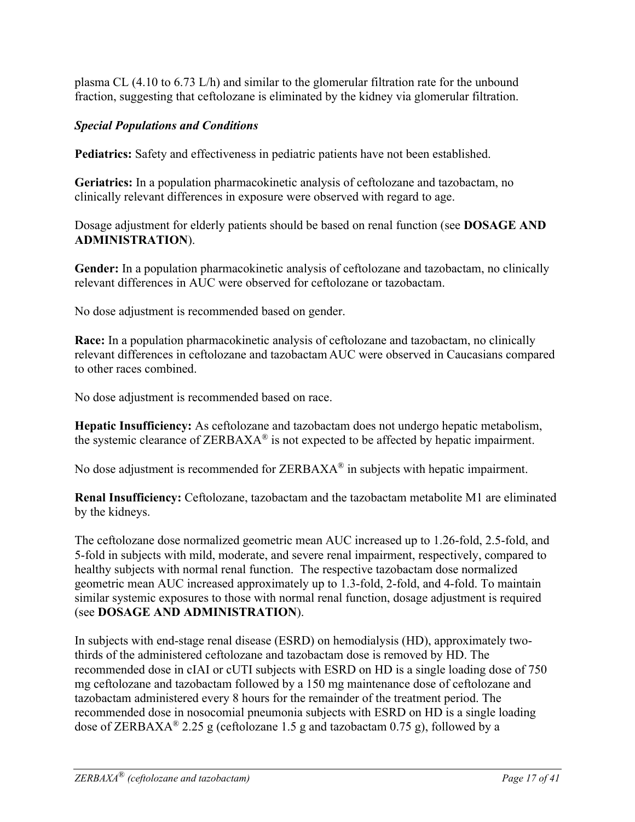plasma CL (4.10 to 6.73 L/h) and similar to the glomerular filtration rate for the unbound fraction, suggesting that ceftolozane is eliminated by the kidney via glomerular filtration.

### *Special Populations and Conditions*

**Pediatrics:** Safety and effectiveness in pediatric patients have not been established.

**Geriatrics:** In a population pharmacokinetic analysis of ceftolozane and tazobactam, no clinically relevant differences in exposure were observed with regard to age.

Dosage adjustment for elderly patients should be based on renal function (see **DOSAGE AND ADMINISTRATION**).

**Gender:** In a population pharmacokinetic analysis of ceftolozane and tazobactam, no clinically relevant differences in AUC were observed for ceftolozane or tazobactam.

No dose adjustment is recommended based on gender.

**Race:** In a population pharmacokinetic analysis of ceftolozane and tazobactam, no clinically relevant differences in ceftolozane and tazobactam AUC were observed in Caucasians compared to other races combined.

No dose adjustment is recommended based on race.

**Hepatic Insufficiency:** As ceftolozane and tazobactam does not undergo hepatic metabolism, the systemic clearance of  $ZERBAXA^{\circledast}$  is not expected to be affected by hepatic impairment.

No dose adjustment is recommended for ZERBAXA<sup>®</sup> in subjects with hepatic impairment.

**Renal Insufficiency:** Ceftolozane, tazobactam and the tazobactam metabolite M1 are eliminated by the kidneys.

The ceftolozane dose normalized geometric mean AUC increased up to 1.26-fold, 2.5-fold, and 5-fold in subjects with mild, moderate, and severe renal impairment, respectively, compared to healthy subjects with normal renal function. The respective tazobactam dose normalized geometric mean AUC increased approximately up to 1.3-fold, 2-fold, and 4-fold. To maintain similar systemic exposures to those with normal renal function, dosage adjustment is required (see **DOSAGE AND ADMINISTRATION**).

In subjects with end-stage renal disease (ESRD) on hemodialysis (HD), approximately twothirds of the administered ceftolozane and tazobactam dose is removed by HD. The recommended dose in cIAI or cUTI subjects with ESRD on HD is a single loading dose of 750 mg ceftolozane and tazobactam followed by a 150 mg maintenance dose of ceftolozane and tazobactam administered every 8 hours for the remainder of the treatment period. The recommended dose in nosocomial pneumonia subjects with ESRD on HD is a single loading dose of ZERBAXA<sup>®</sup> 2.25 g (ceftolozane 1.5 g and tazobactam 0.75 g), followed by a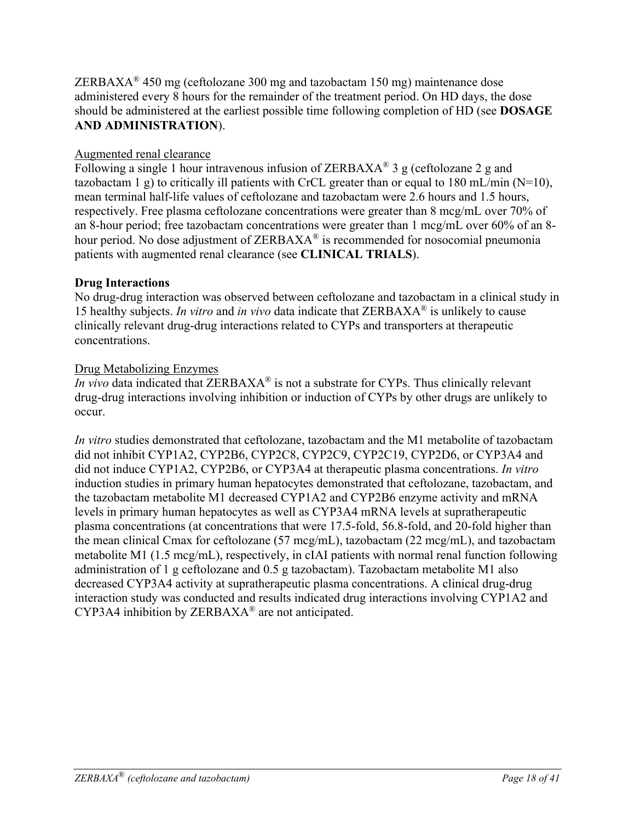ZERBAXA<sup>®</sup> 450 mg (ceftolozane 300 mg and tazobactam 150 mg) maintenance dose administered every 8 hours for the remainder of the treatment period. On HD days, the dose should be administered at the earliest possible time following completion of HD (see **DOSAGE AND ADMINISTRATION**).

### Augmented renal clearance

Following a single 1 hour intravenous infusion of ZERBAXA<sup>®</sup> 3 g (ceftolozane 2 g and tazobactam 1 g) to critically ill patients with CrCL greater than or equal to 180 mL/min ( $N=10$ ), mean terminal half-life values of ceftolozane and tazobactam were 2.6 hours and 1.5 hours, respectively. Free plasma ceftolozane concentrations were greater than 8 mcg/mL over 70% of an 8-hour period; free tazobactam concentrations were greater than 1 mcg/mL over 60% of an 8 hour period. No dose adjustment of ZERBAXA<sup>®</sup> is recommended for nosocomial pneumonia patients with augmented renal clearance (see **CLINICAL TRIALS**).

### **Drug Interactions**

No drug-drug interaction was observed between ceftolozane and tazobactam in a clinical study in 15 healthy subjects. *In vitro* and *in vivo* data indicate that ZERBAXA® is unlikely to cause clinically relevant drug-drug interactions related to CYPs and transporters at therapeutic concentrations.

### Drug Metabolizing Enzymes

*In vivo* data indicated that ZERBAXA<sup>®</sup> is not a substrate for CYPs. Thus clinically relevant drug-drug interactions involving inhibition or induction of CYPs by other drugs are unlikely to occur.

*In vitro* studies demonstrated that ceftolozane, tazobactam and the M1 metabolite of tazobactam did not inhibit CYP1A2, CYP2B6, CYP2C8, CYP2C9, CYP2C19, CYP2D6, or CYP3A4 and did not induce CYP1A2, CYP2B6, or CYP3A4 at therapeutic plasma concentrations. *In vitro* induction studies in primary human hepatocytes demonstrated that ceftolozane, tazobactam, and the tazobactam metabolite M1 decreased CYP1A2 and CYP2B6 enzyme activity and mRNA levels in primary human hepatocytes as well as CYP3A4 mRNA levels at supratherapeutic plasma concentrations (at concentrations that were 17.5-fold, 56.8-fold, and 20-fold higher than the mean clinical Cmax for ceftolozane (57 mcg/mL), tazobactam (22 mcg/mL), and tazobactam metabolite M1 (1.5 mcg/mL), respectively, in cIAI patients with normal renal function following administration of 1 g ceftolozane and 0.5 g tazobactam). Tazobactam metabolite M1 also decreased CYP3A4 activity at supratherapeutic plasma concentrations. A clinical drug-drug interaction study was conducted and results indicated drug interactions involving CYP1A2 and CYP3A4 inhibition by ZERBAXA® are not anticipated.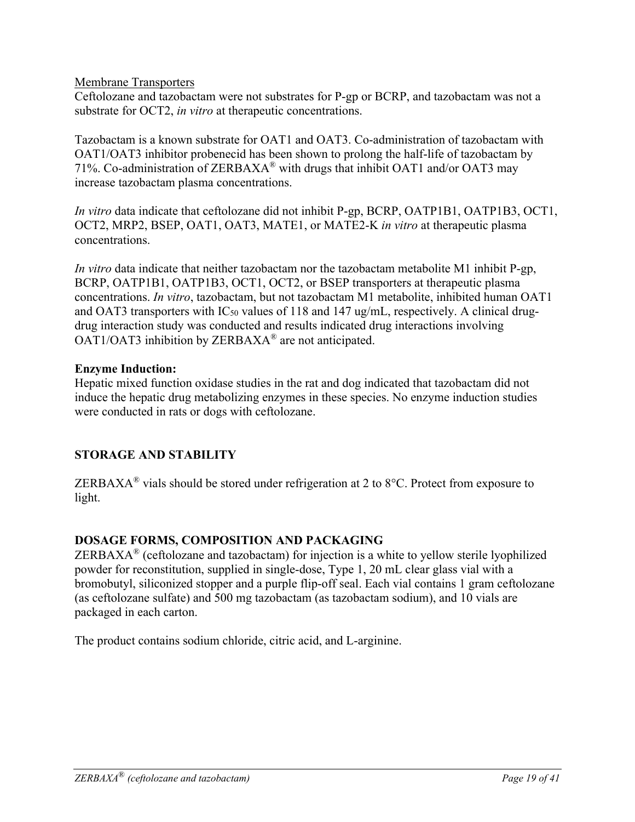#### Membrane Transporters

Ceftolozane and tazobactam were not substrates for P-gp or BCRP, and tazobactam was not a substrate for OCT2, *in vitro* at therapeutic concentrations.

Tazobactam is a known substrate for OAT1 and OAT3. Co-administration of tazobactam with OAT1/OAT3 inhibitor probenecid has been shown to prolong the half-life of tazobactam by 71%. Co-administration of ZERBAXA<sup>®</sup> with drugs that inhibit OAT1 and/or OAT3 may increase tazobactam plasma concentrations.

*In vitro* data indicate that ceftolozane did not inhibit P-gp, BCRP, OATP1B1, OATP1B3, OCT1, OCT2, MRP2, BSEP, OAT1, OAT3, MATE1, or MATE2-K *in vitro* at therapeutic plasma concentrations.

*In vitro* data indicate that neither tazobactam nor the tazobactam metabolite M1 inhibit P-gp, BCRP, OATP1B1, OATP1B3, OCT1, OCT2, or BSEP transporters at therapeutic plasma concentrations. *In vitro*, tazobactam, but not tazobactam M1 metabolite, inhibited human OAT1 and OAT3 transporters with IC<sub>50</sub> values of 118 and 147 ug/mL, respectively. A clinical drugdrug interaction study was conducted and results indicated drug interactions involving OAT1/OAT3 inhibition by ZERBAXA® are not anticipated.

#### **Enzyme Induction:**

Hepatic mixed function oxidase studies in the rat and dog indicated that tazobactam did not induce the hepatic drug metabolizing enzymes in these species. No enzyme induction studies were conducted in rats or dogs with ceftolozane.

#### **STORAGE AND STABILITY**

ZERBAXA<sup>®</sup> vials should be stored under refrigeration at 2 to 8 $°C$ . Protect from exposure to light.

#### **DOSAGE FORMS, COMPOSITION AND PACKAGING**

ZERBAXA® (ceftolozane and tazobactam) for injection is a white to yellow sterile lyophilized powder for reconstitution, supplied in single-dose, Type 1, 20 mL clear glass vial with a bromobutyl, siliconized stopper and a purple flip-off seal. Each vial contains 1 gram ceftolozane (as ceftolozane sulfate) and 500 mg tazobactam (as tazobactam sodium), and 10 vials are packaged in each carton.

The product contains sodium chloride, citric acid, and L-arginine.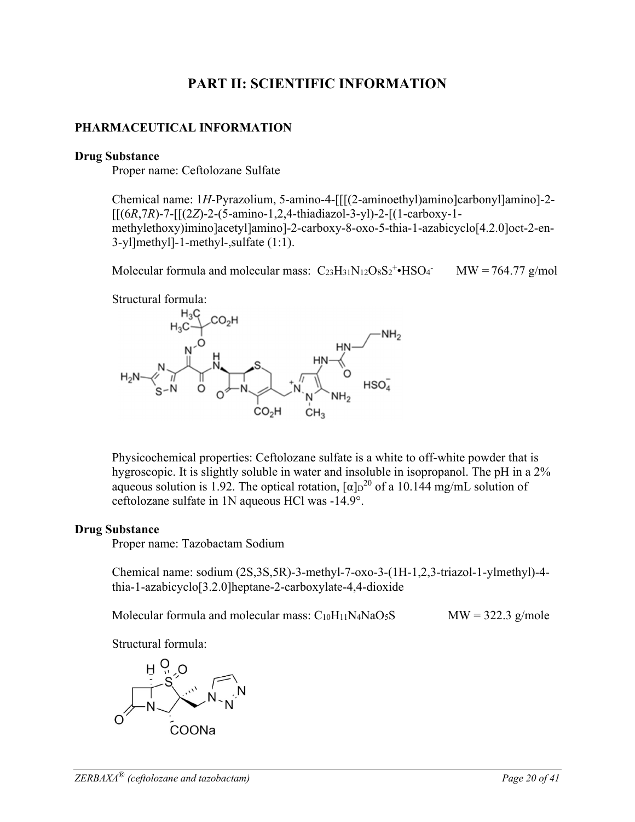### **PART II: SCIENTIFIC INFORMATION**

### **PHARMACEUTICAL INFORMATION**

#### **Drug Substance**

Proper name: Ceftolozane Sulfate

Chemical name: 1*H*-Pyrazolium, 5-amino-4-[[[(2-aminoethyl)amino]carbonyl]amino]-2- [[(6*R*,7*R*)-7-[[(2*Z*)-2-(5-amino-1,2,4-thiadiazol-3-yl)-2-[(1-carboxy-1 methylethoxy)imino]acetyl]amino]-2-carboxy-8-oxo-5-thia-1-azabicyclo[4.2.0]oct-2-en-3-yl]methyl]-1-methyl-,sulfate (1:1).

Molecular formula and molecular mass:  $C_{23}H_{31}N_{12}O_8S_2^{\dagger} \cdot HSO_4$  $MW = 764.77$  g/mol





Physicochemical properties: Ceftolozane sulfate is a white to off-white powder that is hygroscopic. It is slightly soluble in water and insoluble in isopropanol. The pH in a 2% aqueous solution is 1.92. The optical rotation,  $\alpha \ln^{20}$  of a 10.144 mg/mL solution of ceftolozane sulfate in 1N aqueous HCl was -14.9°.

#### **Drug Substance**

Proper name: Tazobactam Sodium

Chemical name: sodium (2S,3S,5R)-3-methyl-7-oxo-3-(1H-1,2,3-triazol-1-ylmethyl)-4 thia-1-azabicyclo[3.2.0]heptane-2-carboxylate-4,4-dioxide

Molecular formula and molecular mass:  $C_{10}H_{11}N_4N_4O_5S$  MW = 322.3 g/mole

Structural formula:

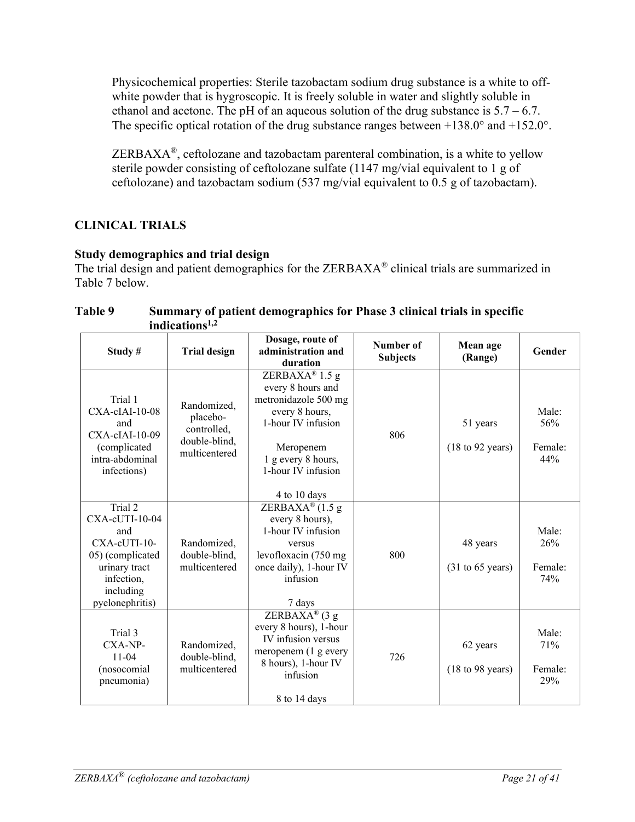Physicochemical properties: Sterile tazobactam sodium drug substance is a white to offwhite powder that is hygroscopic. It is freely soluble in water and slightly soluble in ethanol and acetone. The pH of an aqueous solution of the drug substance is  $5.7 - 6.7$ . The specific optical rotation of the drug substance ranges between  $+138.0^{\circ}$  and  $+152.0^{\circ}$ .

ZERBAXA<sup>®</sup>, ceftolozane and tazobactam parenteral combination, is a white to yellow sterile powder consisting of ceftolozane sulfate (1147 mg/vial equivalent to 1 g of ceftolozane) and tazobactam sodium (537 mg/vial equivalent to 0.5 g of tazobactam).

### **CLINICAL TRIALS**

### **Study demographics and trial design**

The trial design and patient demographics for the ZERBAXA<sup>®</sup> clinical trials are summarized in Table 7 below.

#### **Table 9 Summary of patient demographics for Phase 3 clinical trials in specific indications1,2**

| Study#                                                                                                                                 | <b>Trial design</b>                                                      | Dosage, route of<br>administration and<br>duration                                                                                                                           | Number of<br><b>Subjects</b> | Mean age<br>(Range)                             | Gender                         |
|----------------------------------------------------------------------------------------------------------------------------------------|--------------------------------------------------------------------------|------------------------------------------------------------------------------------------------------------------------------------------------------------------------------|------------------------------|-------------------------------------------------|--------------------------------|
| Trial 1<br>$CXA$ -cIAI-10-08<br>and<br>CXA-cIAI-10-09<br>(complicated<br>intra-abdominal<br>infections)                                | Randomized,<br>placebo-<br>controlled,<br>double-blind,<br>multicentered | ZERBAXA® 1.5 g<br>every 8 hours and<br>metronidazole 500 mg<br>every 8 hours,<br>1-hour IV infusion<br>Meropenem<br>1 g every 8 hours,<br>1-hour IV infusion<br>4 to 10 days | 806                          | 51 years<br>$(18 \text{ to } 92 \text{ years})$ | Male:<br>56%<br>Female:<br>44% |
| Trial 2<br>$CXA$ -cUTI-10-04<br>and<br>CXA-cUTI-10-<br>05) (complicated<br>urinary tract<br>infection,<br>including<br>pyelonephritis) | Randomized,<br>double-blind,<br>multicentered                            | ZERBAXA <sup>®</sup> $(1.5 g)$<br>every 8 hours),<br>1-hour IV infusion<br>versus<br>levofloxacin (750 mg<br>once daily), 1-hour IV<br>infusion<br>7 days                    | 800                          | 48 years<br>$(31 \text{ to } 65 \text{ years})$ | Male:<br>26%<br>Female:<br>74% |
| Trial 3<br>CXA-NP-<br>$11 - 04$<br>(nosocomial<br>pneumonia)                                                                           | Randomized,<br>double-blind,<br>multicentered                            | ZERBAXA® (3 g<br>every 8 hours), 1-hour<br>IV infusion versus<br>meropenem (1 g every<br>8 hours), 1-hour IV<br>infusion<br>8 to 14 days                                     | 726                          | 62 years<br>$(18 \text{ to } 98 \text{ years})$ | Male:<br>71%<br>Female:<br>29% |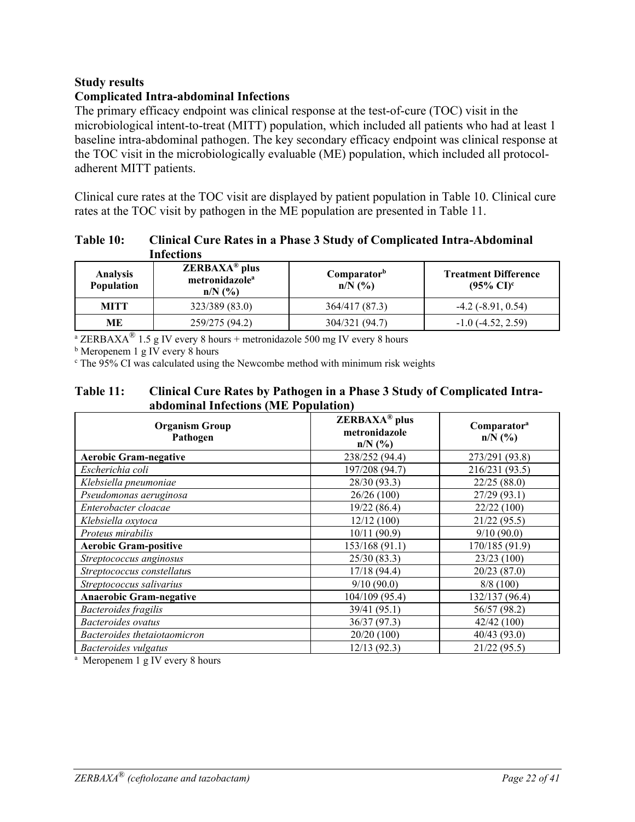#### **Study results**

#### **Complicated Intra-abdominal Infections**

The primary efficacy endpoint was clinical response at the test-of-cure (TOC) visit in the microbiological intent-to-treat (MITT) population, which included all patients who had at least 1 baseline intra-abdominal pathogen. The key secondary efficacy endpoint was clinical response at the TOC visit in the microbiologically evaluable (ME) population, which included all protocoladherent MITT patients.

Clinical cure rates at the TOC visit are displayed by patient population in Table 10. Clinical cure rates at the TOC visit by pathogen in the ME population are presented in Table 11.

| Table 10: | <b>Clinical Cure Rates in a Phase 3 Study of Complicated Intra-Abdominal</b> |
|-----------|------------------------------------------------------------------------------|
|           | <b>Infections</b>                                                            |

| <b>Analysis</b><br>Population | $\mathbf{ZERBAXA}^{\circledR}$ plus<br>metronidazole <sup>a</sup><br>$n/N$ $\binom{0}{0}$ | Comparator <sup>b</sup><br>$n/N$ (%) | <b>Treatment Difference</b><br>$(95\% \text{ CI})^c$ |
|-------------------------------|-------------------------------------------------------------------------------------------|--------------------------------------|------------------------------------------------------|
| <b>MITT</b>                   | 323/389 (83.0)                                                                            | 364/417 (87.3)                       | $-4.2$ ( $-8.91, 0.54$ )                             |
| MЕ                            | 259/275 (94.2)                                                                            | 304/321 (94.7)                       | $-1.0$ ( $-4.52$ , 2.59)                             |

<sup>a</sup> ZERBAXA<sup>®</sup> 1.5 g IV every 8 hours + metronidazole 500 mg IV every 8 hours

**b** Meropenem 1 g IV every 8 hours

<sup>c</sup> The 95% CI was calculated using the Newcombe method with minimum risk weights

#### **Table 11: Clinical Cure Rates by Pathogen in a Phase 3 Study of Complicated Intraabdominal Infections (ME Population)**

| <b>Organism Group</b><br>Pathogen | $\mathbf{ZERBAXA}^{\circledR}$ plus<br>metronidazole<br>$n/N$ (%) | Comparator <sup>a</sup><br>$n/N$ (%) |  |  |
|-----------------------------------|-------------------------------------------------------------------|--------------------------------------|--|--|
| <b>Aerobic Gram-negative</b>      | 238/252 (94.4)                                                    | 273/291 (93.8)                       |  |  |
| Escherichia coli                  | 197/208 (94.7)                                                    | 216/231 (93.5)                       |  |  |
| Klebsiella pneumoniae             | 28/30 (93.3)                                                      | 22/25(88.0)                          |  |  |
| Pseudomonas aeruginosa            | 26/26(100)                                                        | 27/29 (93.1)                         |  |  |
| Enterobacter cloacae              | 19/22 (86.4)                                                      | 22/22 (100)                          |  |  |
| Klebsiella oxytoca                | 12/12(100)                                                        | 21/22 (95.5)                         |  |  |
| Proteus mirabilis                 | 10/11(90.9)                                                       | 9/10(90.0)                           |  |  |
| <b>Aerobic Gram-positive</b>      | 153/168 (91.1)                                                    | 170/185 (91.9)                       |  |  |
| Streptococcus anginosus           | 25/30(83.3)                                                       | 23/23(100)                           |  |  |
| Streptococcus constellatus        | 17/18(94.4)                                                       | 20/23(87.0)                          |  |  |
| Streptococcus salivarius          | 9/10(90.0)                                                        | 8/8(100)                             |  |  |
| <b>Anaerobic Gram-negative</b>    | 104/109 (95.4)                                                    | 132/137 (96.4)                       |  |  |
| <b>Bacteroides</b> fragilis       | 39/41 (95.1)                                                      | 56/57 (98.2)                         |  |  |
| Bacteroides ovatus                | 36/37(97.3)                                                       | 42/42(100)                           |  |  |
| Bacteroides thetaiotaomicron      | 20/20 (100)                                                       | 40/43 (93.0)                         |  |  |
| Bacteroides vulgatus              | 12/13(92.3)                                                       | 21/22(95.5)                          |  |  |

<sup>a</sup> Meropenem 1 g IV every 8 hours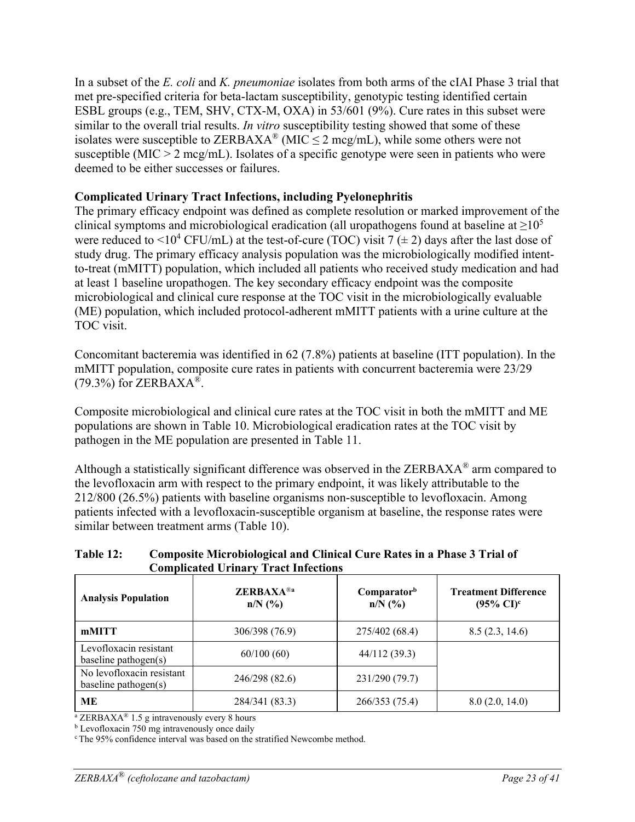In a subset of the *E. coli* and *K. pneumoniae* isolates from both arms of the cIAI Phase 3 trial that met pre-specified criteria for beta-lactam susceptibility, genotypic testing identified certain ESBL groups (e.g., TEM, SHV, CTX-M, OXA) in 53/601 (9%). Cure rates in this subset were similar to the overall trial results. *In vitro* susceptibility testing showed that some of these isolates were susceptible to ZERBAXA<sup>®</sup> (MIC  $\leq$  2 mcg/mL), while some others were not susceptible (MIC > 2 mcg/mL). Isolates of a specific genotype were seen in patients who were deemed to be either successes or failures.

### **Complicated Urinary Tract Infections, including Pyelonephritis**

The primary efficacy endpoint was defined as complete resolution or marked improvement of the clinical symptoms and microbiological eradication (all uropathogens found at baseline at  $\geq 10^5$ ) were reduced to  $\leq 10^4$  CFU/mL) at the test-of-cure (TOC) visit 7 ( $\pm$  2) days after the last dose of study drug. The primary efficacy analysis population was the microbiologically modified intentto-treat (mMITT) population, which included all patients who received study medication and had at least 1 baseline uropathogen. The key secondary efficacy endpoint was the composite microbiological and clinical cure response at the TOC visit in the microbiologically evaluable (ME) population, which included protocol-adherent mMITT patients with a urine culture at the TOC visit.

Concomitant bacteremia was identified in 62 (7.8%) patients at baseline (ITT population). In the mMITT population, composite cure rates in patients with concurrent bacteremia were 23/29  $(79.3\%)$  for ZERBAXA<sup>®</sup>.

Composite microbiological and clinical cure rates at the TOC visit in both the mMITT and ME populations are shown in Table 10. Microbiological eradication rates at the TOC visit by pathogen in the ME population are presented in Table 11.

Although a statistically significant difference was observed in the ZERBAXA® arm compared to the levofloxacin arm with respect to the primary endpoint, it was likely attributable to the 212/800 (26.5%) patients with baseline organisms non-susceptible to levofloxacin. Among patients infected with a levofloxacin-susceptible organism at baseline, the response rates were similar between treatment arms (Table 10).

#### **Table 12: Composite Microbiological and Clinical Cure Rates in a Phase 3 Trial of Complicated Urinary Tract Infections**

| <b>Analysis Population</b>                           | <b>ZERBAXA®a</b><br>$n/N$ (%) | Comparatorb<br>$n/N$ (%) | <b>Treatment Difference</b><br>$(95\% \text{ CI})^c$ |
|------------------------------------------------------|-------------------------------|--------------------------|------------------------------------------------------|
| mMITT                                                | 306/398 (76.9)                | 275/402 (68.4)           | 8.5(2.3, 14.6)                                       |
| Levofloxacin resistant<br>baseline pathogen $(s)$    | 60/100(60)                    | 44/112 (39.3)            |                                                      |
| No levofloxacin resistant<br>baseline pathogen $(s)$ | 246/298 (82.6)                | 231/290 (79.7)           |                                                      |
| MЕ                                                   | 284/341 (83.3)                | 266/353 (75.4)           | 8.0(2.0, 14.0)                                       |

<sup>a</sup> ZERBAXA<sup>®</sup> 1.5 g intravenously every 8 hours

 $b$  Levofloxacin 750 mg intravenously once daily

c The 95% confidence interval was based on the stratified Newcombe method.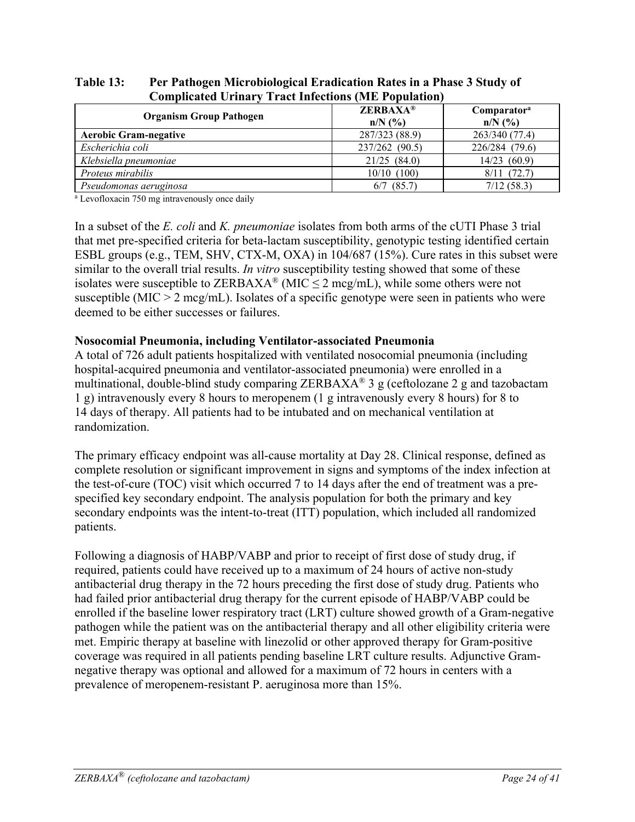| Computattu Ormary Tratt mittuons (ivid i opulation)       |                              |                                      |
|-----------------------------------------------------------|------------------------------|--------------------------------------|
| <b>Organism Group Pathogen</b>                            | <b>ZERBAXA®</b><br>$n/N$ (%) | Comparator <sup>a</sup><br>$n/N$ (%) |
| <b>Aerobic Gram-negative</b>                              | 287/323 (88.9)               | 263/340 (77.4)                       |
| Escherichia coli                                          | 237/262 (90.5)               | 226/284 (79.6)                       |
| Klebsiella pneumoniae                                     | 21/25(84.0)                  | 14/23 (60.9)                         |
| Proteus mirabilis                                         | $10/10$ (100)                | $8/11$ (72.7)                        |
| Pseudomonas aeruginosa                                    | $6/7$ $(85.7)$               | 7/12(58.3)                           |
| <sup>a</sup> Levofloxacin 750 mg intravenously once daily |                              |                                      |

#### **Table 13: Per Pathogen Microbiological Eradication Rates in a Phase 3 Study of Complicated Urinary Tract Infections (ME Population)**

In a subset of the *E. coli* and *K. pneumoniae* isolates from both arms of the cUTI Phase 3 trial that met pre-specified criteria for beta-lactam susceptibility, genotypic testing identified certain ESBL groups (e.g., TEM, SHV, CTX-M, OXA) in 104/687 (15%). Cure rates in this subset were similar to the overall trial results. *In vitro* susceptibility testing showed that some of these isolates were susceptible to ZERBAXA<sup>®</sup> (MIC  $\leq$  2 mcg/mL), while some others were not susceptible (MIC  $> 2 \text{ meg/mL}$ ). Isolates of a specific genotype were seen in patients who were deemed to be either successes or failures.

#### **Nosocomial Pneumonia, including Ventilator-associated Pneumonia**

A total of 726 adult patients hospitalized with ventilated nosocomial pneumonia (including hospital-acquired pneumonia and ventilator-associated pneumonia) were enrolled in a multinational, double-blind study comparing ZERBAXA<sup>®</sup> 3 g (ceftolozane 2 g and tazobactam 1 g) intravenously every 8 hours to meropenem (1 g intravenously every 8 hours) for 8 to 14 days of therapy. All patients had to be intubated and on mechanical ventilation at randomization.

The primary efficacy endpoint was all-cause mortality at Day 28. Clinical response, defined as complete resolution or significant improvement in signs and symptoms of the index infection at the test-of-cure (TOC) visit which occurred 7 to 14 days after the end of treatment was a prespecified key secondary endpoint. The analysis population for both the primary and key secondary endpoints was the intent-to-treat (ITT) population, which included all randomized patients.

Following a diagnosis of HABP/VABP and prior to receipt of first dose of study drug, if required, patients could have received up to a maximum of 24 hours of active non-study antibacterial drug therapy in the 72 hours preceding the first dose of study drug. Patients who had failed prior antibacterial drug therapy for the current episode of HABP/VABP could be enrolled if the baseline lower respiratory tract (LRT) culture showed growth of a Gram-negative pathogen while the patient was on the antibacterial therapy and all other eligibility criteria were met. Empiric therapy at baseline with linezolid or other approved therapy for Gram-positive coverage was required in all patients pending baseline LRT culture results. Adjunctive Gramnegative therapy was optional and allowed for a maximum of 72 hours in centers with a prevalence of meropenem-resistant P. aeruginosa more than 15%.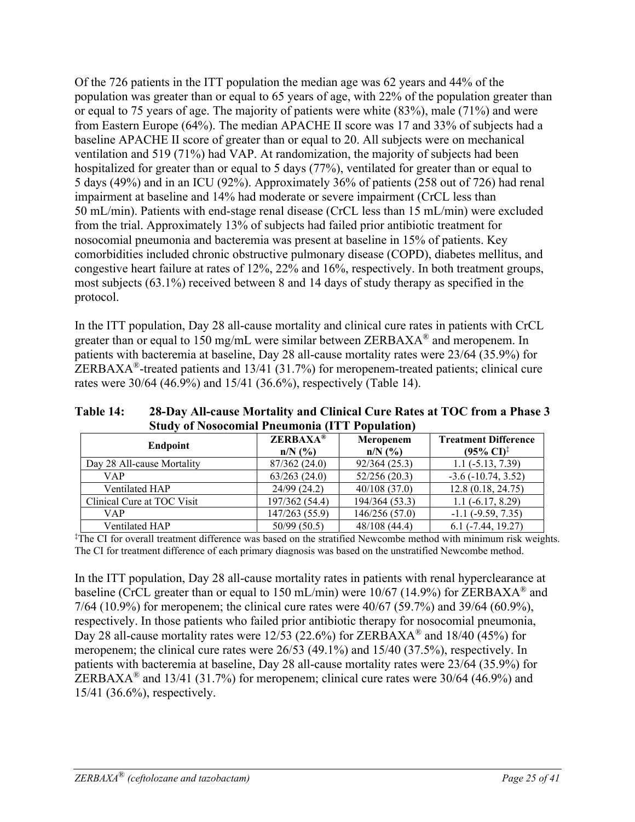Of the 726 patients in the ITT population the median age was 62 years and 44% of the population was greater than or equal to 65 years of age, with 22% of the population greater than or equal to 75 years of age. The majority of patients were white (83%), male (71%) and were from Eastern Europe (64%). The median APACHE II score was 17 and 33% of subjects had a baseline APACHE II score of greater than or equal to 20. All subjects were on mechanical ventilation and 519 (71%) had VAP. At randomization, the majority of subjects had been hospitalized for greater than or equal to 5 days (77%), ventilated for greater than or equal to 5 days (49%) and in an ICU (92%). Approximately 36% of patients (258 out of 726) had renal impairment at baseline and 14% had moderate or severe impairment (CrCL less than 50 mL/min). Patients with end-stage renal disease (CrCL less than 15 mL/min) were excluded from the trial. Approximately 13% of subjects had failed prior antibiotic treatment for nosocomial pneumonia and bacteremia was present at baseline in 15% of patients. Key comorbidities included chronic obstructive pulmonary disease (COPD), diabetes mellitus, and congestive heart failure at rates of 12%, 22% and 16%, respectively. In both treatment groups, most subjects (63.1%) received between 8 and 14 days of study therapy as specified in the protocol.

In the ITT population, Day 28 all-cause mortality and clinical cure rates in patients with CrCL greater than or equal to 150 mg/mL were similar between ZERBAXA® and meropenem. In patients with bacteremia at baseline, Day 28 all-cause mortality rates were 23/64 (35.9%) for ZERBAXA<sup>®</sup>-treated patients and 13/41 (31.7%) for meropenem-treated patients; clinical cure rates were 30/64 (46.9%) and 15/41 (36.6%), respectively (Table 14).

| $\mathcal{L}$ tuuv oli vosotoilitat 1 lietunoilla (11 1 1 lopulation) |                              |                        |                                                               |  |  |  |
|-----------------------------------------------------------------------|------------------------------|------------------------|---------------------------------------------------------------|--|--|--|
| Endpoint                                                              | <b>ZERBAXA®</b><br>$n/N$ (%) | Meropenem<br>$n/N$ (%) | <b>Treatment Difference</b><br>$(95\% \text{ CI})^{\ddagger}$ |  |  |  |
| Day 28 All-cause Mortality                                            | 87/362 (24.0)                | 92/364(25.3)           | $1.1(-5.13, 7.39)$                                            |  |  |  |
| <b>VAP</b>                                                            | 63/263(24.0)                 | 52/256(20.3)           | $-3.6$ ( $-10.74$ , $3.52$ )                                  |  |  |  |
| Ventilated HAP                                                        | 24/99 (24.2)                 | 40/108(37.0)           | 12.8(0.18, 24.75)                                             |  |  |  |
| Clinical Cure at TOC Visit                                            | 197/362 (54.4)               | 194/364 (53.3)         | $1.1(-6.17, 8.29)$                                            |  |  |  |
| VAP.                                                                  | 147/263 (55.9)               | 146/256 (57.0)         | $-1.1$ ( $-9.59$ , $7.35$ )                                   |  |  |  |
| Ventilated HAP                                                        | 50/99(50.5)                  | 48/108 (44.4)          | $6.1$ ( $-7.44$ , 19.27)                                      |  |  |  |

**Table 14: 28-Day All-cause Mortality and Clinical Cure Rates at TOC from a Phase 3 Study of Nosocomial Pneumonia (ITT Population)** 

‡ The CI for overall treatment difference was based on the stratified Newcombe method with minimum risk weights. The CI for treatment difference of each primary diagnosis was based on the unstratified Newcombe method.

In the ITT population, Day 28 all-cause mortality rates in patients with renal hyperclearance at baseline (CrCL greater than or equal to 150 mL/min) were 10/67 (14.9%) for ZERBAXA<sup>®</sup> and 7/64 (10.9%) for meropenem; the clinical cure rates were 40/67 (59.7%) and 39/64 (60.9%), respectively. In those patients who failed prior antibiotic therapy for nosocomial pneumonia, Day 28 all-cause mortality rates were 12/53 (22.6%) for ZERBAXA<sup>®</sup> and 18/40 (45%) for meropenem; the clinical cure rates were 26/53 (49.1%) and 15/40 (37.5%), respectively. In patients with bacteremia at baseline, Day 28 all-cause mortality rates were 23/64 (35.9%) for ZERBAXA<sup>®</sup> and 13/41 (31.7%) for meropenem; clinical cure rates were 30/64 (46.9%) and 15/41 (36.6%), respectively.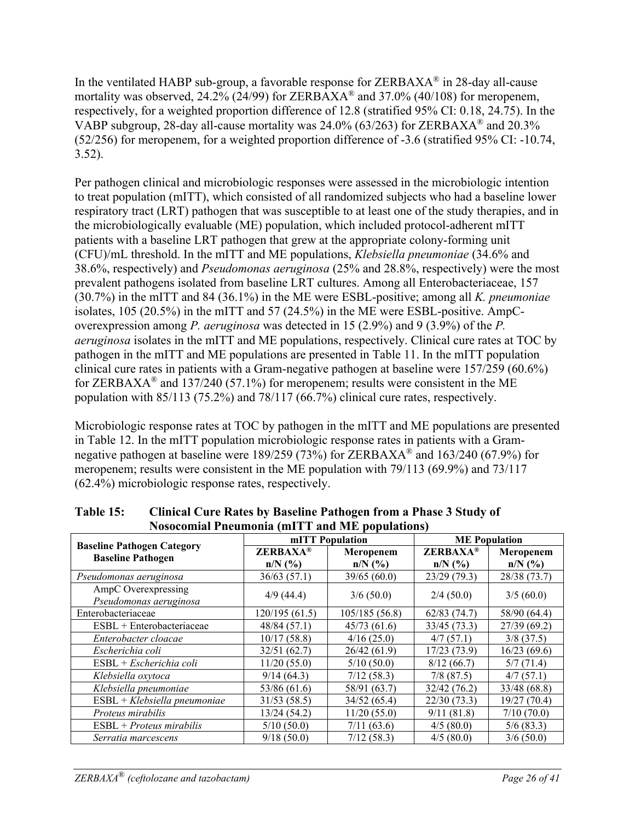In the ventilated HABP sub-group, a favorable response for  $ZERBAXA^{\circledast}$  in 28-day all-cause mortality was observed,  $24.2\%$  ( $24/99$ ) for ZERBAXA<sup>®</sup> and 37.0% (40/108) for meropenem, respectively, for a weighted proportion difference of 12.8 (stratified 95% CI: 0.18, 24.75). In the VABP subgroup, 28-day all-cause mortality was 24.0% (63/263) for ZERBAXA® and 20.3% (52/256) for meropenem, for a weighted proportion difference of -3.6 (stratified 95% CI: -10.74, 3.52).

Per pathogen clinical and microbiologic responses were assessed in the microbiologic intention to treat population (mITT), which consisted of all randomized subjects who had a baseline lower respiratory tract (LRT) pathogen that was susceptible to at least one of the study therapies, and in the microbiologically evaluable (ME) population, which included protocol-adherent mITT patients with a baseline LRT pathogen that grew at the appropriate colony-forming unit (CFU)/mL threshold. In the mITT and ME populations, *Klebsiella pneumoniae* (34.6% and 38.6%, respectively) and *Pseudomonas aeruginosa* (25% and 28.8%, respectively) were the most prevalent pathogens isolated from baseline LRT cultures. Among all Enterobacteriaceae, 157 (30.7%) in the mITT and 84 (36.1%) in the ME were ESBL-positive; among all *K. pneumoniae* isolates, 105 (20.5%) in the mITT and 57 (24.5%) in the ME were ESBL-positive. AmpCoverexpression among *P. aeruginosa* was detected in 15 (2.9%) and 9 (3.9%) of the *P. aeruginosa* isolates in the mITT and ME populations, respectively. Clinical cure rates at TOC by pathogen in the mITT and ME populations are presented in Table 11. In the mITT population clinical cure rates in patients with a Gram-negative pathogen at baseline were 157/259 (60.6%) for ZERBAXA<sup>®</sup> and 137/240 (57.1%) for meropenem; results were consistent in the ME population with 85/113 (75.2%) and 78/117 (66.7%) clinical cure rates, respectively.

Microbiologic response rates at TOC by pathogen in the mITT and ME populations are presented in Table 12. In the mITT population microbiologic response rates in patients with a Gramnegative pathogen at baseline were 189/259 (73%) for ZERBAXA<sup>®</sup> and 163/240 (67.9%) for meropenem; results were consistent in the ME population with 79/113 (69.9%) and 73/117 (62.4%) microbiologic response rates, respectively.

| $1,000$ community incommunity $\left\{ \text{min } 1, \text{min } 1, \text{min } 1, \text{min } 1, \text{min } 1, \text{min } 1, \text{min } 1, \text{min } 1, \text{min } 1, \text{min } 1, \text{min } 1, \text{min } 1, \text{min } 1, \text{min } 1, \text{min } 1, \text{min } 1, \text{min } 1, \text{min } 1, \text{min } 1, \text{min } 1, \text{min } 1, \text{min } 1, \text{min } 1, \text$ |                              | mITT Population        | <b>ME</b> Population         |                        |  |
|--------------------------------------------------------------------------------------------------------------------------------------------------------------------------------------------------------------------------------------------------------------------------------------------------------------------------------------------------------------------------------------------------------|------------------------------|------------------------|------------------------------|------------------------|--|
| <b>Baseline Pathogen Category</b><br><b>Baseline Pathogen</b>                                                                                                                                                                                                                                                                                                                                          | <b>ZERBAXA®</b><br>$n/N$ (%) | Meropenem<br>$n/N$ (%) | <b>ZERBAXA®</b><br>$n/N$ (%) | Meropenem<br>$n/N$ (%) |  |
| Pseudomonas aeruginosa                                                                                                                                                                                                                                                                                                                                                                                 | 36/63(57.1)                  | 39/65 (60.0)           | 23/29(79.3)                  | 28/38 (73.7)           |  |
| AmpC Overexpressing<br>Pseudomonas aeruginosa                                                                                                                                                                                                                                                                                                                                                          | 4/9(44.4)                    | 3/6(50.0)              | 2/4(50.0)                    | 3/5(60.0)              |  |
| Enterobacteriaceae                                                                                                                                                                                                                                                                                                                                                                                     | 120/195(61.5)                | 105/185(56.8)          | 62/83(74.7)                  | 58/90 (64.4)           |  |
| ESBL + Enterobacteriaceae                                                                                                                                                                                                                                                                                                                                                                              | 48/84(57.1)                  | 45/73(61.6)            | 33/45(73.3)                  | 27/39(69.2)            |  |
| Enterobacter cloacae                                                                                                                                                                                                                                                                                                                                                                                   | 10/17(58.8)                  | 4/16(25.0)             | 4/7(57.1)                    | $3/8$ (37.5)           |  |
| Escherichia coli                                                                                                                                                                                                                                                                                                                                                                                       | 32/51(62.7)                  | 26/42 (61.9)           | 17/23(73.9)                  | 16/23(69.6)            |  |
| $ESBL + Escherichia coli$                                                                                                                                                                                                                                                                                                                                                                              | 11/20(55.0)                  | 5/10(50.0)             | 8/12(66.7)                   | 5/7(71.4)              |  |
| Klebsiella oxytoca                                                                                                                                                                                                                                                                                                                                                                                     | 9/14(64.3)                   | 7/12(58.3)             | 7/8(87.5)                    | 4/7(57.1)              |  |
| Klebsiella pneumoniae                                                                                                                                                                                                                                                                                                                                                                                  | 53/86 (61.6)                 | 58/91 (63.7)           | 32/42 (76.2)                 | 33/48 (68.8)           |  |
| $ESBL + Klebsiella pneumoniae$                                                                                                                                                                                                                                                                                                                                                                         | 31/53(58.5)                  | 34/52(65.4)            | 22/30(73.3)                  | 19/27(70.4)            |  |
| Proteus mirabilis                                                                                                                                                                                                                                                                                                                                                                                      | 13/24 (54.2)                 | 11/20(55.0)            | 9/11(81.8)                   | 7/10(70.0)             |  |
| $ESBL + Proteus mirabilis$                                                                                                                                                                                                                                                                                                                                                                             | 5/10(50.0)                   | 7/11(63.6)             | 4/5(80.0)                    | 5/6(83.3)              |  |
| Serratia marcescens                                                                                                                                                                                                                                                                                                                                                                                    | 9/18(50.0)                   | 7/12(58.3)             | 4/5(80.0)                    | 3/6(50.0)              |  |

**Table 15: Clinical Cure Rates by Baseline Pathogen from a Phase 3 Study of Nosocomial Pneumonia (mITT and ME populations)**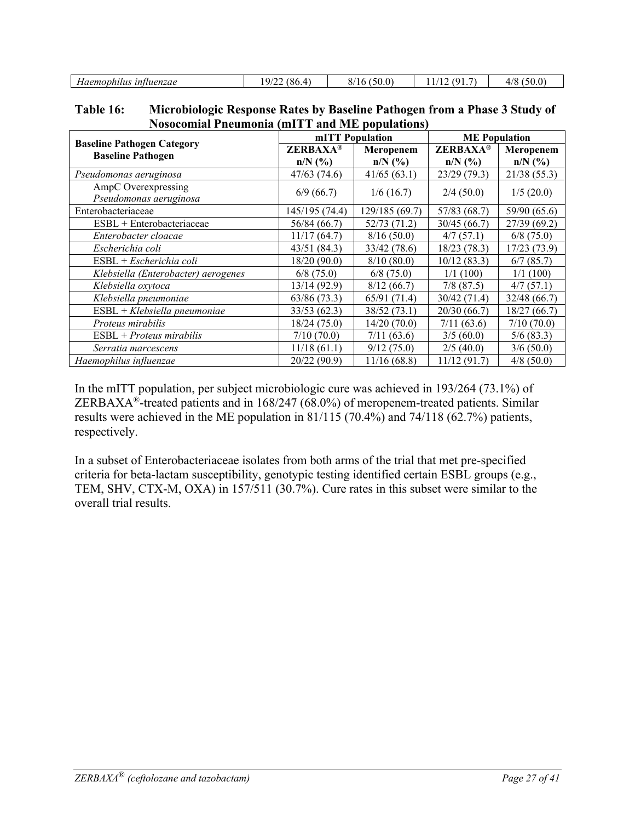|                                          | $\alpha$<br>71.                    | $\sim$ $\sim$<br>(0.0)                 | $\sim$         | $ \sim$<br>4/8<br>$\sim$ |
|------------------------------------------|------------------------------------|----------------------------------------|----------------|--------------------------|
| intluenzae<br>Haemo <sup>,</sup><br>viuw | . O.O.<br>$\overline{\phantom{a}}$ | $\mathbf{U}$<br>$\mathcal{O}^{\prime}$ | $\overline{1}$ | 150x                     |

| Table 16: | Microbiologic Response Rates by Baseline Pathogen from a Phase 3 Study of |
|-----------|---------------------------------------------------------------------------|
|           | <b>Nosocomial Pneumonia (mITT and ME populations)</b>                     |

|                                                               | mITT Population |                | <b>ME</b> Population |              |  |
|---------------------------------------------------------------|-----------------|----------------|----------------------|--------------|--|
| <b>Baseline Pathogen Category</b><br><b>Baseline Pathogen</b> | <b>ZERBAXA®</b> | Meropenem      | <b>ZERBAXA®</b>      | Meropenem    |  |
|                                                               | $n/N$ (%)       | $n/N$ (%)      | $n/N$ $(\%$ )        | $n/N$ (%)    |  |
| Pseudomonas aeruginosa                                        | 47/63 (74.6)    | 41/65(63.1)    | 23/29(79.3)          | 21/38(55.3)  |  |
| AmpC Overexpressing                                           | 6/9(66.7)       | 1/6(16.7)      | 2/4(50.0)            | 1/5(20.0)    |  |
| Pseudomonas aeruginosa                                        |                 |                |                      |              |  |
| Enterobacteriaceae                                            | 145/195 (74.4)  | 129/185 (69.7) | 57/83 (68.7)         | 59/90 (65.6) |  |
| $ESBL + Entero bacteriaceae$                                  | 56/84 (66.7)    | 52/73(71.2)    | 30/45(66.7)          | 27/39 (69.2) |  |
| Enterobacter cloacae                                          | 11/17(64.7)     | 8/16(50.0)     | 4/7(57.1)            | $6/8$ (75.0) |  |
| Escherichia coli                                              | 43/51 (84.3)    | 33/42 (78.6)   | 18/23(78.3)          | 17/23 (73.9) |  |
| $ESBL + Escherichia coli$                                     | 18/20 (90.0)    | 8/10(80.0)     | 10/12(83.3)          | 6/7(85.7)    |  |
| Klebsiella (Enterobacter) aerogenes                           | 6/8(75.0)       | 6/8(75.0)      | 1/1(100)             | 1/1(100)     |  |
| Klebsiella oxytoca                                            | 13/14(92.9)     | 8/12(66.7)     | 7/8(87.5)            | 4/7(57.1)    |  |
| Klebsiella pneumoniae                                         | 63/86(73.3)     | 65/91 (71.4)   | 30/42 (71.4)         | 32/48 (66.7) |  |
| $ESBL + Klebsiella pneumoniae$                                | 33/53(62.3)     | 38/52 (73.1)   | 20/30(66.7)          | 18/27 (66.7) |  |
| Proteus mirabilis                                             | 18/24 (75.0)    | 14/20(70.0)    | 7/11(63.6)           | 7/10(70.0)   |  |
| $ESBL + Proteus mirabilis$                                    | 7/10(70.0)      | 7/11(63.6)     | 3/5(60.0)            | 5/6(83.3)    |  |
| Serratia marcescens                                           | 11/18(61.1)     | 9/12(75.0)     | 2/5(40.0)            | 3/6(50.0)    |  |
| Haemophilus influenzae                                        | 20/22 (90.9)    | 11/16(68.8)    | 11/12(91.7)          | 4/8(50.0)    |  |

In the mITT population, per subject microbiologic cure was achieved in 193/264 (73.1%) of ZERBAXA®-treated patients and in 168/247 (68.0%) of meropenem-treated patients. Similar results were achieved in the ME population in  $81/115$  (70.4%) and 74/118 (62.7%) patients, respectively.

In a subset of Enterobacteriaceae isolates from both arms of the trial that met pre-specified criteria for beta-lactam susceptibility, genotypic testing identified certain ESBL groups (e.g., TEM, SHV, CTX-M, OXA) in 157/511 (30.7%). Cure rates in this subset were similar to the overall trial results.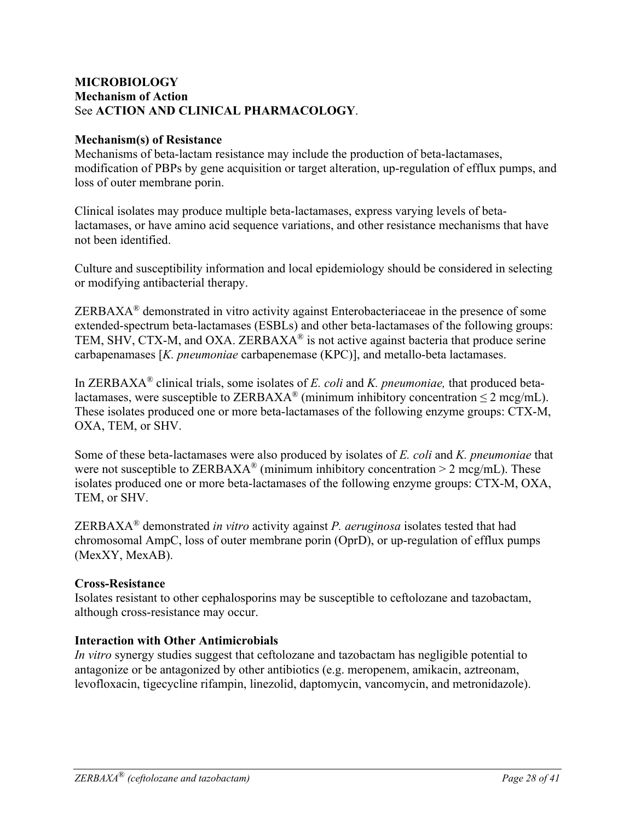#### **MICROBIOLOGY Mechanism of Action** See **ACTION AND CLINICAL PHARMACOLOGY**.

#### **Mechanism(s) of Resistance**

Mechanisms of beta-lactam resistance may include the production of beta-lactamases, modification of PBPs by gene acquisition or target alteration, up-regulation of efflux pumps, and loss of outer membrane porin.

Clinical isolates may produce multiple beta-lactamases, express varying levels of betalactamases, or have amino acid sequence variations, and other resistance mechanisms that have not been identified.

Culture and susceptibility information and local epidemiology should be considered in selecting or modifying antibacterial therapy.

ZERBAXA® demonstrated in vitro activity against Enterobacteriaceae in the presence of some extended-spectrum beta-lactamases (ESBLs) and other beta-lactamases of the following groups: TEM, SHV, CTX-M, and OXA. ZERBAX $A^{\circledR}$  is not active against bacteria that produce serine carbapenamases [*K. pneumoniae* carbapenemase (KPC)], and metallo-beta lactamases.

In ZERBAXA® clinical trials, some isolates of *E. coli* and *K. pneumoniae,* that produced betalactamases, were susceptible to ZERBAXA<sup>®</sup> (minimum inhibitory concentration  $\leq 2 \text{~mag/mL}$ ). These isolates produced one or more beta-lactamases of the following enzyme groups: CTX-M, OXA, TEM, or SHV.

Some of these beta-lactamases were also produced by isolates of *E. coli* and *K. pneumoniae* that were not susceptible to  $ZERBAXA^{\circledast}$  (minimum inhibitory concentration  $> 2 \text{ meg/mL}$ ). These isolates produced one or more beta-lactamases of the following enzyme groups: CTX-M, OXA, TEM, or SHV.

ZERBAXA® demonstrated *in vitro* activity against *P. aeruginosa* isolates tested that had chromosomal AmpC, loss of outer membrane porin (OprD), or up-regulation of efflux pumps (MexXY, MexAB).

#### **Cross-Resistance**

Isolates resistant to other cephalosporins may be susceptible to ceftolozane and tazobactam, although cross-resistance may occur.

#### **Interaction with Other Antimicrobials**

*In vitro* synergy studies suggest that ceftolozane and tazobactam has negligible potential to antagonize or be antagonized by other antibiotics (e.g. meropenem, amikacin, aztreonam, levofloxacin, tigecycline rifampin, linezolid, daptomycin, vancomycin, and metronidazole).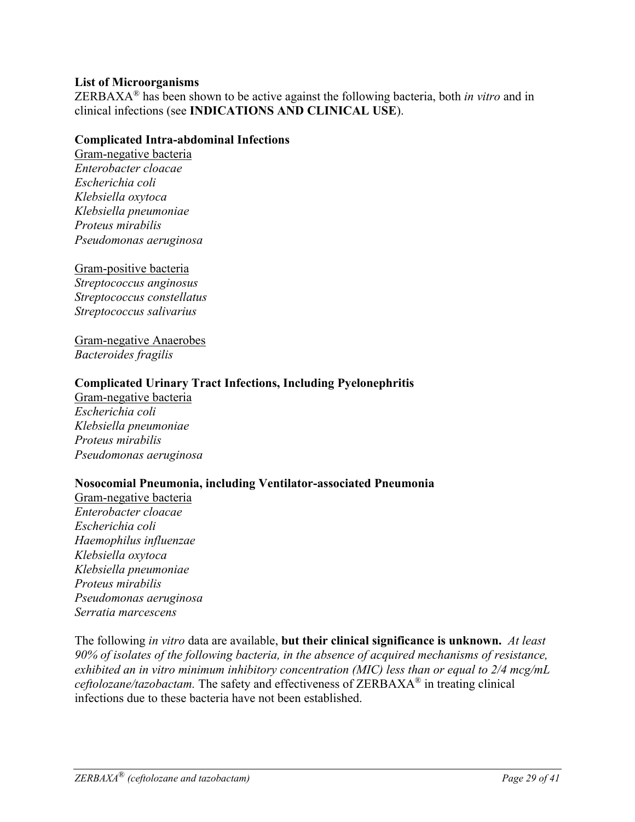#### **List of Microorganisms**

ZERBAXA® has been shown to be active against the following bacteria, both *in vitro* and in clinical infections (see **INDICATIONS AND CLINICAL USE**).

#### **Complicated Intra-abdominal Infections**

Gram-negative bacteria *Enterobacter cloacae Escherichia coli Klebsiella oxytoca Klebsiella pneumoniae Proteus mirabilis Pseudomonas aeruginosa* 

#### Gram-positive bacteria

*Streptococcus anginosus Streptococcus constellatus Streptococcus salivarius* 

Gram-negative Anaerobes *Bacteroides fragilis* 

#### **Complicated Urinary Tract Infections, Including Pyelonephritis**

Gram-negative bacteria *Escherichia coli Klebsiella pneumoniae Proteus mirabilis Pseudomonas aeruginosa*

#### **Nosocomial Pneumonia, including Ventilator-associated Pneumonia**

Gram-negative bacteria *Enterobacter cloacae Escherichia coli Haemophilus influenzae Klebsiella oxytoca Klebsiella pneumoniae Proteus mirabilis Pseudomonas aeruginosa Serratia marcescens* 

The following *in vitro* data are available, **but their clinical significance is unknown.** *At least 90% of isolates of the following bacteria, in the absence of acquired mechanisms of resistance, exhibited an in vitro minimum inhibitory concentration (MIC) less than or equal to 2/4 mcg/mL ceftolozane/tazobactam.* The safety and effectiveness of ZERBAXA® in treating clinical infections due to these bacteria have not been established.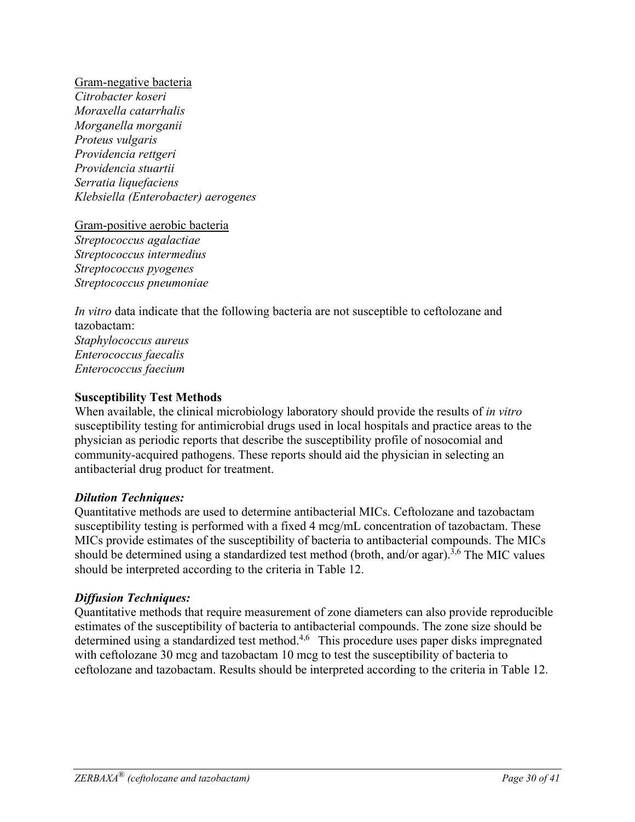Gram-negative bacteria *Citrobacter koseri Moraxella catarrhalis Morganella morganii Proteus vulgaris Providencia rettgeri Providencia stuartii Serratia liquefaciens Klebsiella (Enterobacter) aerogenes* 

Gram-positive aerobic bacteria *Streptococcus agalactiae Streptococcus intermedius Streptococcus pyogenes Streptococcus pneumoniae* 

*In vitro* data indicate that the following bacteria are not susceptible to ceftolozane and tazobactam: *Staphylococcus aureus Enterococcus faecalis Enterococcus faecium* 

#### **Susceptibility Test Methods**

When available, the clinical microbiology laboratory should provide the results of *in vitro* susceptibility testing for antimicrobial drugs used in local hospitals and practice areas to the physician as periodic reports that describe the susceptibility profile of nosocomial and community-acquired pathogens. These reports should aid the physician in selecting an antibacterial drug product for treatment.

#### *Dilution Techniques:*

Quantitative methods are used to determine antibacterial MICs. Ceftolozane and tazobactam susceptibility testing is performed with a fixed 4 mcg/mL concentration of tazobactam. These MICs provide estimates of the susceptibility of bacteria to antibacterial compounds. The MICs should be determined using a standardized test method (broth, and/or agar).<sup>3,6</sup> The MIC values should be interpreted according to the criteria in Table 12.

#### *Diffusion Techniques:*

Quantitative methods that require measurement of zone diameters can also provide reproducible estimates of the susceptibility of bacteria to antibacterial compounds. The zone size should be determined using a standardized test method.<sup>4,6</sup> This procedure uses paper disks impregnated with ceftolozane 30 mcg and tazobactam 10 mcg to test the susceptibility of bacteria to ceftolozane and tazobactam. Results should be interpreted according to the criteria in Table 12.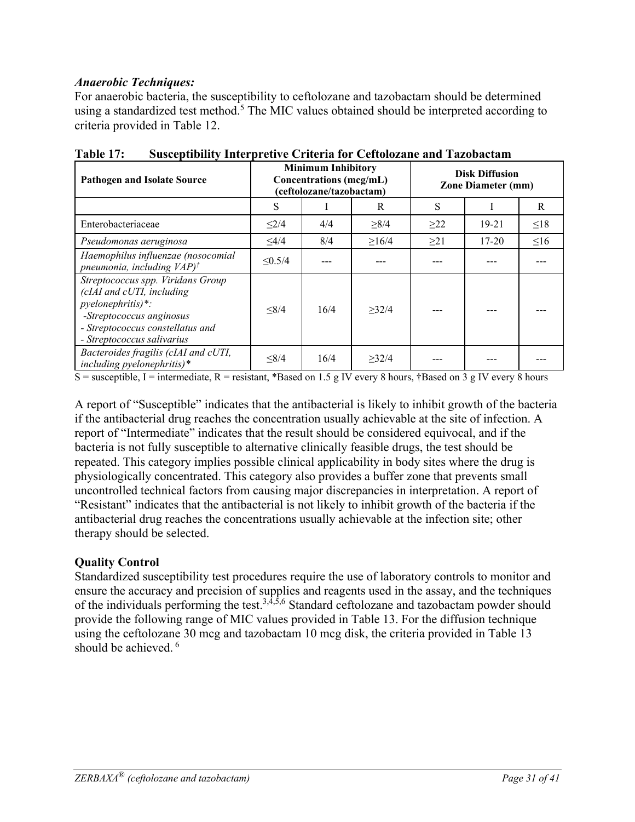### *Anaerobic Techniques:*

For anaerobic bacteria, the susceptibility to ceftolozane and tazobactam should be determined using a standardized test method.<sup>5</sup> The MIC values obtained should be interpreted according to criteria provided in Table 12.

| <b>Pathogen and Isolate Source</b>                                                                                                                                                |              | <b>Minimum Inhibitory</b><br><b>Concentrations</b> (mcg/mL)<br>(ceftolozane/tazobactam) |            |           | <b>Disk Diffusion</b><br><b>Zone Diameter (mm)</b> |           |
|-----------------------------------------------------------------------------------------------------------------------------------------------------------------------------------|--------------|-----------------------------------------------------------------------------------------|------------|-----------|----------------------------------------------------|-----------|
|                                                                                                                                                                                   | S            |                                                                                         | R          | S         |                                                    | R         |
| Enterobacteriaceae                                                                                                                                                                | $\leq$ 2/4   | 4/4                                                                                     | $\geq 8/4$ | $\geq$ 22 | $19 - 21$                                          | $\leq 18$ |
| Pseudomonas aeruginosa                                                                                                                                                            | $\leq$ 4/4   | 8/4                                                                                     | >16/4      | $\geq$ 21 | $17 - 20$                                          | $\leq 16$ |
| Haemophilus influenzae (nosocomial<br>pneumonia, including $VAP$ <sup>†</sup>                                                                                                     | $\leq 0.5/4$ |                                                                                         |            |           |                                                    |           |
| Streptococcus spp. Viridans Group<br>(cIAI and cUTI, including<br>pyelonephritis)*:<br>-Streptococcus anginosus<br>- Streptococcus constellatus and<br>- Streptococcus salivarius | $\leq 8/4$   | 16/4                                                                                    | >32/4      |           |                                                    |           |
| Bacteroides fragilis (cIAI and cUTI,<br>including pyelonephritis)*                                                                                                                | $\leq 8/4$   | 16/4                                                                                    | >32/4      |           |                                                    |           |

S = susceptible, I = intermediate, R = resistant, \*Based on 1.5 g IV every 8 hours, †Based on 3 g IV every 8 hours

A report of "Susceptible" indicates that the antibacterial is likely to inhibit growth of the bacteria if the antibacterial drug reaches the concentration usually achievable at the site of infection. A report of "Intermediate" indicates that the result should be considered equivocal, and if the bacteria is not fully susceptible to alternative clinically feasible drugs, the test should be repeated. This category implies possible clinical applicability in body sites where the drug is physiologically concentrated. This category also provides a buffer zone that prevents small uncontrolled technical factors from causing major discrepancies in interpretation. A report of "Resistant" indicates that the antibacterial is not likely to inhibit growth of the bacteria if the antibacterial drug reaches the concentrations usually achievable at the infection site; other therapy should be selected.

### **Quality Control**

Standardized susceptibility test procedures require the use of laboratory controls to monitor and ensure the accuracy and precision of supplies and reagents used in the assay, and the techniques of the individuals performing the test.<sup>3,4,5,6</sup> Standard ceftolozane and tazobactam powder should provide the following range of MIC values provided in Table 13. For the diffusion technique using the ceftolozane 30 mcg and tazobactam 10 mcg disk, the criteria provided in Table 13 should be achieved.  $6\overline{6}$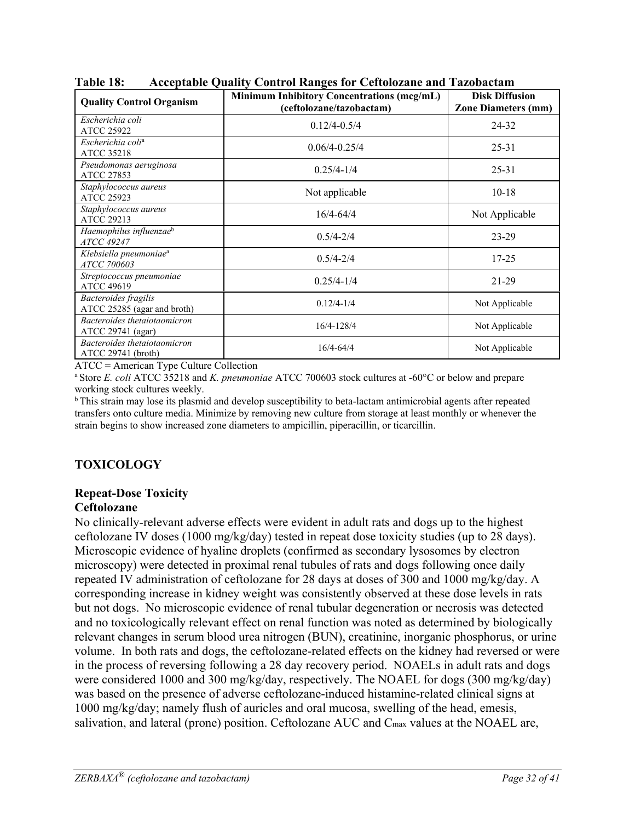| <b>Quality Control Organism</b>                            | <b>Minimum Inhibitory Concentrations (mcg/mL)</b><br>(ceftolozane/tazobactam) | <b>Disk Diffusion</b><br><b>Zone Diameters (mm)</b> |
|------------------------------------------------------------|-------------------------------------------------------------------------------|-----------------------------------------------------|
| Escherichia coli<br><b>ATCC 25922</b>                      | $0.12/4 - 0.5/4$                                                              | 24-32                                               |
| Escherichia coli <sup>a</sup><br><b>ATCC 35218</b>         | $0.06/4 - 0.25/4$                                                             | $25 - 31$                                           |
| Pseudomonas aeruginosa<br>ATCC 27853                       | $0.25/4 - 1/4$                                                                | $25 - 31$                                           |
| Staphylococcus aureus<br><b>ATCC 25923</b>                 | Not applicable                                                                | $10-18$                                             |
| Staphylococcus aureus<br><b>ATCC 29213</b>                 | $16/4 - 64/4$                                                                 | Not Applicable                                      |
| Haemophilus influenzaeb<br><i>ATCC 49247</i>               | $0.5/4 - 2/4$                                                                 | $23 - 29$                                           |
| Klebsiella pneumoniae <sup>a</sup><br>ATCC 700603          | $0.5/4 - 2/4$                                                                 | $17 - 25$                                           |
| Streptococcus pneumoniae<br><b>ATCC 49619</b>              | $0.25/4 - 1/4$                                                                | 21-29                                               |
| <b>Bacteroides</b> fragilis<br>ATCC 25285 (agar and broth) | $0.12/4 - 1/4$                                                                | Not Applicable                                      |
| Bacteroides thetaiotaomicron<br>ATCC 29741 (agar)          | 16/4-128/4                                                                    | Not Applicable                                      |
| Bacteroides thetaiotaomicron<br>$ATCC 29741$ (broth)       | $16/4 - 64/4$                                                                 | Not Applicable                                      |

**Table 18: Acceptable Quality Control Ranges for Ceftolozane and Tazobactam** 

ATCC = American Type Culture Collection

a Store *E. coli* ATCC 35218 and *K. pneumoniae* ATCC 700603 stock cultures at -60°C or below and prepare working stock cultures weekly.

b This strain may lose its plasmid and develop susceptibility to beta-lactam antimicrobial agents after repeated transfers onto culture media. Minimize by removing new culture from storage at least monthly or whenever the strain begins to show increased zone diameters to ampicillin, piperacillin, or ticarcillin.

### **TOXICOLOGY**

### **Repeat-Dose Toxicity**

#### **Ceftolozane**

No clinically-relevant adverse effects were evident in adult rats and dogs up to the highest ceftolozane IV doses (1000 mg/kg/day) tested in repeat dose toxicity studies (up to 28 days). Microscopic evidence of hyaline droplets (confirmed as secondary lysosomes by electron microscopy) were detected in proximal renal tubules of rats and dogs following once daily repeated IV administration of ceftolozane for 28 days at doses of 300 and 1000 mg/kg/day. A corresponding increase in kidney weight was consistently observed at these dose levels in rats but not dogs. No microscopic evidence of renal tubular degeneration or necrosis was detected and no toxicologically relevant effect on renal function was noted as determined by biologically relevant changes in serum blood urea nitrogen (BUN), creatinine, inorganic phosphorus, or urine volume. In both rats and dogs, the ceftolozane-related effects on the kidney had reversed or were in the process of reversing following a 28 day recovery period. NOAELs in adult rats and dogs were considered 1000 and 300 mg/kg/day, respectively. The NOAEL for dogs (300 mg/kg/day) was based on the presence of adverse ceftolozane-induced histamine-related clinical signs at 1000 mg/kg/day; namely flush of auricles and oral mucosa, swelling of the head, emesis, salivation, and lateral (prone) position. Ceftolozane AUC and Cmax values at the NOAEL are,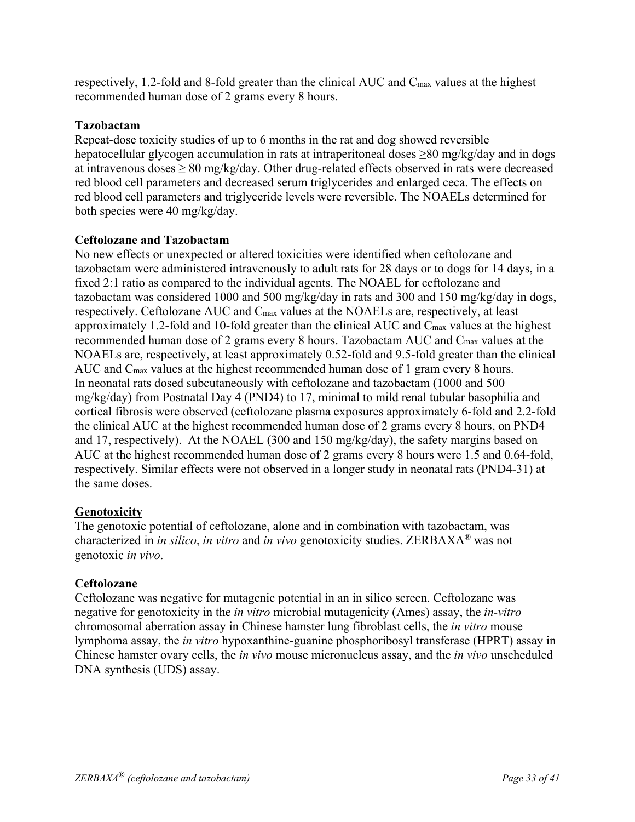respectively, 1.2-fold and 8-fold greater than the clinical AUC and Cmax values at the highest recommended human dose of 2 grams every 8 hours.

### **Tazobactam**

Repeat-dose toxicity studies of up to 6 months in the rat and dog showed reversible hepatocellular glycogen accumulation in rats at intraperitoneal doses ≥80 mg/kg/day and in dogs at intravenous doses  $\geq 80$  mg/kg/day. Other drug-related effects observed in rats were decreased red blood cell parameters and decreased serum triglycerides and enlarged ceca. The effects on red blood cell parameters and triglyceride levels were reversible. The NOAELs determined for both species were 40 mg/kg/day.

### **Ceftolozane and Tazobactam**

No new effects or unexpected or altered toxicities were identified when ceftolozane and tazobactam were administered intravenously to adult rats for 28 days or to dogs for 14 days, in a fixed 2:1 ratio as compared to the individual agents. The NOAEL for ceftolozane and tazobactam was considered 1000 and 500 mg/kg/day in rats and 300 and 150 mg/kg/day in dogs, respectively. Ceftolozane AUC and Cmax values at the NOAELs are, respectively, at least approximately 1.2-fold and 10-fold greater than the clinical AUC and Cmax values at the highest recommended human dose of 2 grams every 8 hours. Tazobactam AUC and C<sub>max</sub> values at the NOAELs are, respectively, at least approximately 0.52-fold and 9.5-fold greater than the clinical AUC and Cmax values at the highest recommended human dose of 1 gram every 8 hours. In neonatal rats dosed subcutaneously with ceftolozane and tazobactam (1000 and 500 mg/kg/day) from Postnatal Day 4 (PND4) to 17, minimal to mild renal tubular basophilia and cortical fibrosis were observed (ceftolozane plasma exposures approximately 6-fold and 2.2-fold the clinical AUC at the highest recommended human dose of 2 grams every 8 hours, on PND4 and 17, respectively). At the NOAEL (300 and 150 mg/kg/day), the safety margins based on AUC at the highest recommended human dose of 2 grams every 8 hours were 1.5 and 0.64-fold, respectively. Similar effects were not observed in a longer study in neonatal rats (PND4-31) at the same doses.

### **Genotoxicity**

The genotoxic potential of ceftolozane, alone and in combination with tazobactam, was characterized in *in silico*, *in vitro* and *in vivo* genotoxicity studies. ZERBAXA® was not genotoxic *in vivo*.

### **Ceftolozane**

Ceftolozane was negative for mutagenic potential in an in silico screen. Ceftolozane was negative for genotoxicity in the *in vitro* microbial mutagenicity (Ames) assay, the *in-vitro* chromosomal aberration assay in Chinese hamster lung fibroblast cells, the *in vitro* mouse lymphoma assay, the *in vitro* hypoxanthine-guanine phosphoribosyl transferase (HPRT) assay in Chinese hamster ovary cells, the *in vivo* mouse micronucleus assay, and the *in vivo* unscheduled DNA synthesis (UDS) assay.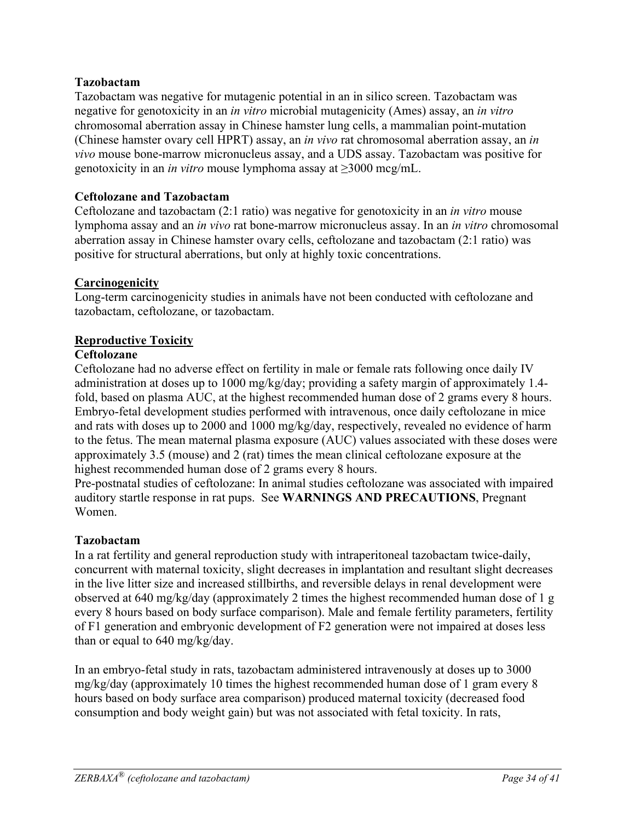### **Tazobactam**

Tazobactam was negative for mutagenic potential in an in silico screen. Tazobactam was negative for genotoxicity in an *in vitro* microbial mutagenicity (Ames) assay, an *in vitro* chromosomal aberration assay in Chinese hamster lung cells, a mammalian point-mutation (Chinese hamster ovary cell HPRT) assay, an *in vivo* rat chromosomal aberration assay, an *in vivo* mouse bone-marrow micronucleus assay, and a UDS assay. Tazobactam was positive for genotoxicity in an *in vitro* mouse lymphoma assay at ≥3000 mcg/mL.

### **Ceftolozane and Tazobactam**

Ceftolozane and tazobactam (2:1 ratio) was negative for genotoxicity in an *in vitro* mouse lymphoma assay and an *in vivo* rat bone-marrow micronucleus assay. In an *in vitro* chromosomal aberration assay in Chinese hamster ovary cells, ceftolozane and tazobactam (2:1 ratio) was positive for structural aberrations, but only at highly toxic concentrations.

### **Carcinogenicity**

Long-term carcinogenicity studies in animals have not been conducted with ceftolozane and tazobactam, ceftolozane, or tazobactam.

### **Reproductive Toxicity**

### **Ceftolozane**

Ceftolozane had no adverse effect on fertility in male or female rats following once daily IV administration at doses up to 1000 mg/kg/day; providing a safety margin of approximately 1.4 fold, based on plasma AUC, at the highest recommended human dose of 2 grams every 8 hours. Embryo-fetal development studies performed with intravenous, once daily ceftolozane in mice and rats with doses up to 2000 and 1000 mg/kg/day, respectively, revealed no evidence of harm to the fetus. The mean maternal plasma exposure (AUC) values associated with these doses were approximately 3.5 (mouse) and 2 (rat) times the mean clinical ceftolozane exposure at the highest recommended human dose of 2 grams every 8 hours.

Pre-postnatal studies of ceftolozane: In animal studies ceftolozane was associated with impaired auditory startle response in rat pups. See **WARNINGS AND PRECAUTIONS**, Pregnant Women.

### **Tazobactam**

In a rat fertility and general reproduction study with intraperitoneal tazobactam twice-daily, concurrent with maternal toxicity, slight decreases in implantation and resultant slight decreases in the live litter size and increased stillbirths, and reversible delays in renal development were observed at 640 mg/kg/day (approximately 2 times the highest recommended human dose of 1 g every 8 hours based on body surface comparison). Male and female fertility parameters, fertility of F1 generation and embryonic development of F2 generation were not impaired at doses less than or equal to 640 mg/kg/day.

In an embryo-fetal study in rats, tazobactam administered intravenously at doses up to 3000 mg/kg/day (approximately 10 times the highest recommended human dose of 1 gram every 8 hours based on body surface area comparison) produced maternal toxicity (decreased food consumption and body weight gain) but was not associated with fetal toxicity. In rats,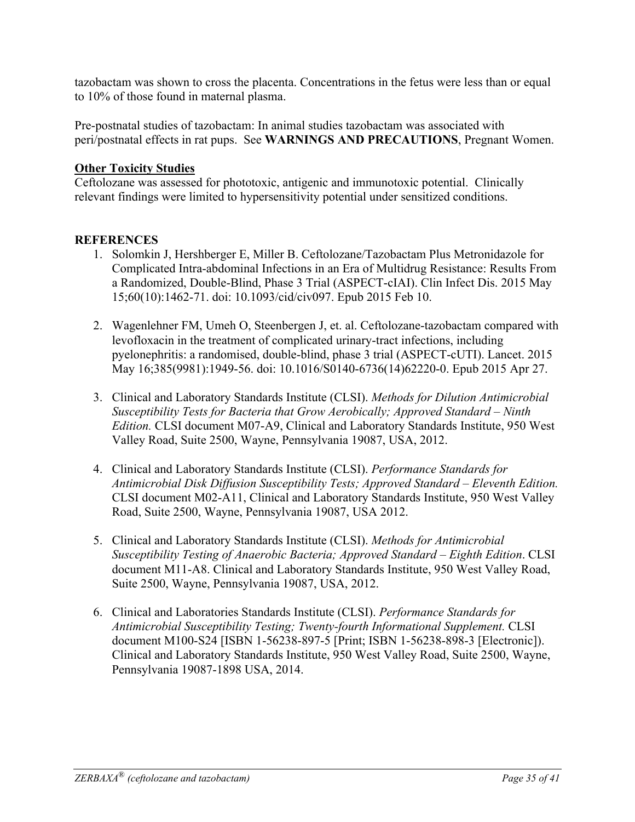tazobactam was shown to cross the placenta. Concentrations in the fetus were less than or equal to 10% of those found in maternal plasma.

Pre-postnatal studies of tazobactam: In animal studies tazobactam was associated with peri/postnatal effects in rat pups. See **WARNINGS AND PRECAUTIONS**, Pregnant Women.

### **Other Toxicity Studies**

Ceftolozane was assessed for phototoxic, antigenic and immunotoxic potential. Clinically relevant findings were limited to hypersensitivity potential under sensitized conditions.

### **REFERENCES**

- 1. Solomkin J, Hershberger E, Miller B. Ceftolozane/Tazobactam Plus Metronidazole for Complicated Intra-abdominal Infections in an Era of Multidrug Resistance: Results From a Randomized, Double-Blind, Phase 3 Trial (ASPECT-cIAI). Clin Infect Dis. 2015 May 15;60(10):1462-71. doi: 10.1093/cid/civ097. Epub 2015 Feb 10.
- 2. Wagenlehner FM, Umeh O, Steenbergen J, et. al. Ceftolozane-tazobactam compared with levofloxacin in the treatment of complicated urinary-tract infections, including pyelonephritis: a randomised, double-blind, phase 3 trial (ASPECT-cUTI). Lancet. 2015 May 16;385(9981):1949-56. doi: 10.1016/S0140-6736(14)62220-0. Epub 2015 Apr 27.
- 3. Clinical and Laboratory Standards Institute (CLSI). *Methods for Dilution Antimicrobial Susceptibility Tests for Bacteria that Grow Aerobically; Approved Standard – Ninth Edition.* CLSI document M07-A9, Clinical and Laboratory Standards Institute, 950 West Valley Road, Suite 2500, Wayne, Pennsylvania 19087, USA, 2012.
- 4. Clinical and Laboratory Standards Institute (CLSI). *Performance Standards for Antimicrobial Disk Diffusion Susceptibility Tests; Approved Standard – Eleventh Edition.*  CLSI document M02-A11, Clinical and Laboratory Standards Institute, 950 West Valley Road, Suite 2500, Wayne, Pennsylvania 19087, USA 2012.
- 5. Clinical and Laboratory Standards Institute (CLSI). *Methods for Antimicrobial Susceptibility Testing of Anaerobic Bacteria; Approved Standard – Eighth Edition*. CLSI document M11-A8. Clinical and Laboratory Standards Institute, 950 West Valley Road, Suite 2500, Wayne, Pennsylvania 19087, USA, 2012.
- 6. Clinical and Laboratories Standards Institute (CLSI). *Performance Standards for Antimicrobial Susceptibility Testing; Twenty-fourth Informational Supplement.* CLSI document M100-S24 [ISBN 1-56238-897-5 [Print; ISBN 1-56238-898-3 [Electronic]). Clinical and Laboratory Standards Institute, 950 West Valley Road, Suite 2500, Wayne, Pennsylvania 19087-1898 USA, 2014.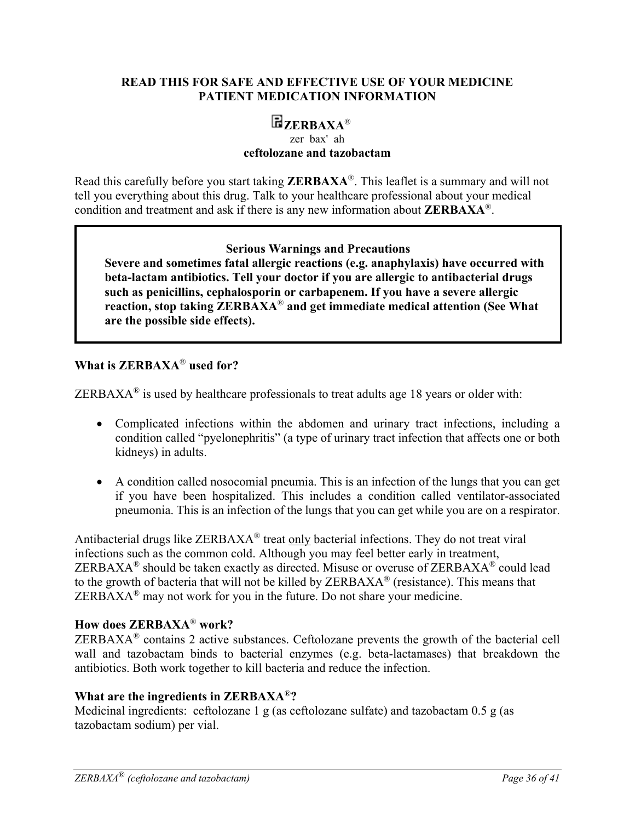#### **READ THIS FOR SAFE AND EFFECTIVE USE OF YOUR MEDICINE PATIENT MEDICATION INFORMATION**

# **ZERBAXA**®

#### zer bax' ah **ceftolozane and tazobactam**

Read this carefully before you start taking **ZERBAXA**®. This leaflet is a summary and will not tell you everything about this drug. Talk to your healthcare professional about your medical condition and treatment and ask if there is any new information about **ZERBAXA**®.

#### **Serious Warnings and Precautions**

**Severe and sometimes fatal allergic reactions (e.g. anaphylaxis) have occurred with beta-lactam antibiotics. Tell your doctor if you are allergic to antibacterial drugs such as penicillins, cephalosporin or carbapenem. If you have a severe allergic reaction, stop taking ZERBAXA**® **and get immediate medical attention (See What are the possible side effects).** 

#### **What is ZERBAXA**® **used for?**

ZERBAXA<sup>®</sup> is used by healthcare professionals to treat adults age 18 years or older with:

- Complicated infections within the abdomen and urinary tract infections, including a condition called "pyelonephritis" (a type of urinary tract infection that affects one or both kidneys) in adults.
- A condition called nosocomial pneumia. This is an infection of the lungs that you can get if you have been hospitalized. This includes a condition called ventilator-associated pneumonia. This is an infection of the lungs that you can get while you are on a respirator.

Antibacterial drugs like ZERBAXA® treat only bacterial infections. They do not treat viral infections such as the common cold. Although you may feel better early in treatment, ZERBAXA® should be taken exactly as directed. Misuse or overuse of ZERBAXA® could lead to the growth of bacteria that will not be killed by ZERBAXA® (resistance). This means that  $ZERBAXA<sup>®</sup>$  may not work for you in the future. Do not share your medicine.

#### **How does ZERBAXA**® **work?**

 $ZERBAXA<sup>®</sup>$  contains 2 active substances. Ceftolozane prevents the growth of the bacterial cell wall and tazobactam binds to bacterial enzymes (e.g. beta-lactamases) that breakdown the antibiotics. Both work together to kill bacteria and reduce the infection.

#### **What are the ingredients in ZERBAXA**®**?**

Medicinal ingredients:ceftolozane 1 g (as ceftolozane sulfate) and tazobactam 0.5 g (as tazobactam sodium) per vial.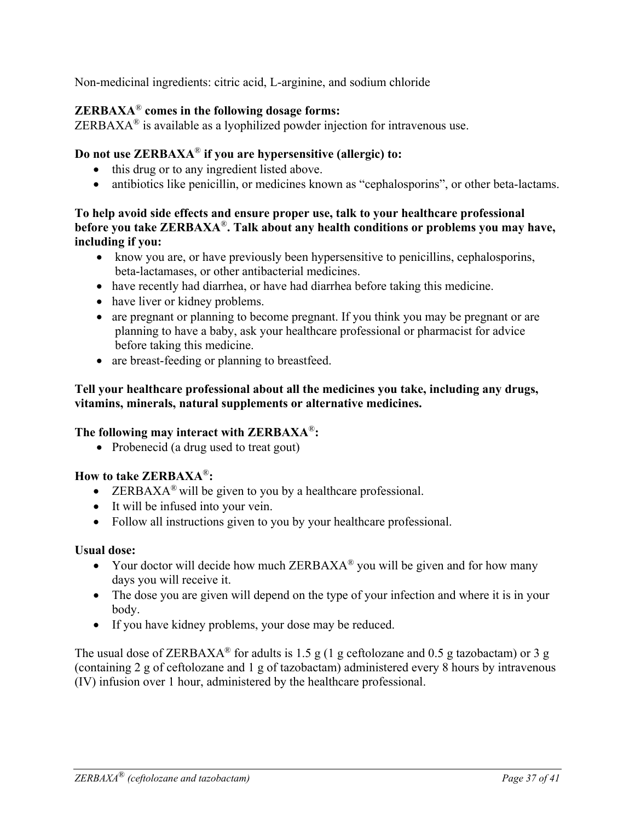Non-medicinal ingredients: citric acid, L-arginine, and sodium chloride

### **ZERBAXA**® **comes in the following dosage forms:**

 $ZERBAXA<sup>®</sup>$  is available as a lyophilized powder injection for intravenous use.

#### **Do not use ZERBAXA**® **if you are hypersensitive (allergic) to:**

- this drug or to any ingredient listed above.
- antibiotics like penicillin, or medicines known as "cephalosporins", or other beta-lactams.

#### **To help avoid side effects and ensure proper use, talk to your healthcare professional before you take ZERBAXA**®**. Talk about any health conditions or problems you may have, including if you:**

- know you are, or have previously been hypersensitive to penicillins, cephalosporins, beta-lactamases, or other antibacterial medicines.
- have recently had diarrhea, or have had diarrhea before taking this medicine.
- have liver or kidney problems.
- are pregnant or planning to become pregnant. If you think you may be pregnant or are planning to have a baby, ask your healthcare professional or pharmacist for advice before taking this medicine.
- are breast-feeding or planning to breastfeed.

#### **Tell your healthcare professional about all the medicines you take, including any drugs, vitamins, minerals, natural supplements or alternative medicines.**

#### **The following may interact with ZERBAXA**®**:**

• Probenecid (a drug used to treat gout)

### **How to take ZERBAXA**®**:**

- ERBAXA<sup>®</sup> will be given to you by a healthcare professional.
- It will be infused into your vein.
- Follow all instructions given to you by your healthcare professional.

#### **Usual dose:**

- Your doctor will decide how much  $ZERBAXA^{\circledR}$  you will be given and for how many days you will receive it.
- The dose you are given will depend on the type of your infection and where it is in your body.
- If you have kidney problems, your dose may be reduced.

The usual dose of ZERBAXA<sup>®</sup> for adults is 1.5 g (1 g ceftolozane and 0.5 g tazobactam) or 3 g (containing 2 g of ceftolozane and 1 g of tazobactam) administered every 8 hours by intravenous (IV) infusion over 1 hour, administered by the healthcare professional.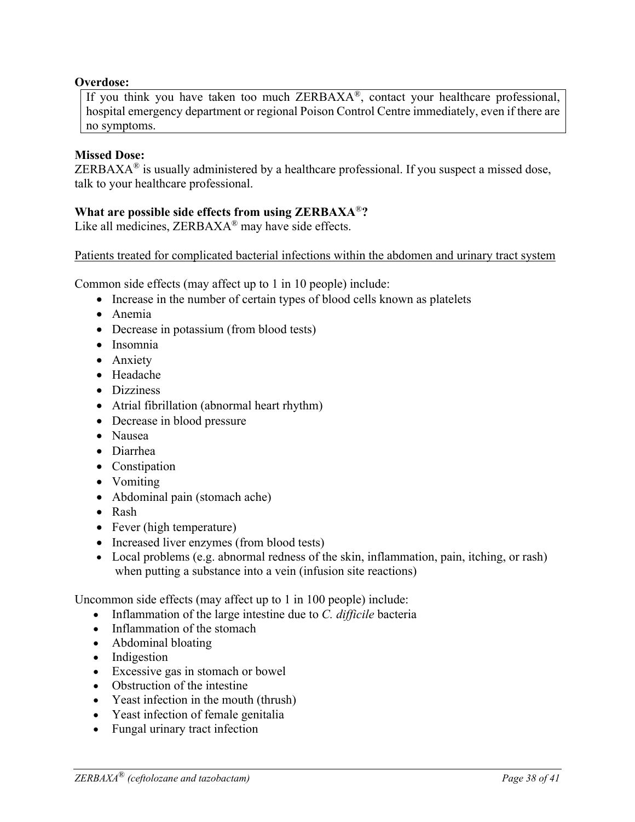#### **Overdose:**

If you think you have taken too much ZERBAXA®, contact your healthcare professional, hospital emergency department or regional Poison Control Centre immediately, even if there are no symptoms.

#### **Missed Dose:**

ZERBAX $A^{\otimes}$  is usually administered by a healthcare professional. If you suspect a missed dose, talk to your healthcare professional.

#### **What are possible side effects from using ZERBAXA**®**?**

Like all medicines, ZERBAXA<sup>®</sup> may have side effects.

Patients treated for complicated bacterial infections within the abdomen and urinary tract system

Common side effects (may affect up to 1 in 10 people) include:

- Increase in the number of certain types of blood cells known as platelets
- Anemia
- Decrease in potassium (from blood tests)
- Insomnia
- Anxiety
- Headache
- Dizziness
- Atrial fibrillation (abnormal heart rhythm)
- Decrease in blood pressure
- Nausea
- Diarrhea
- Constipation
- Vomiting
- Abdominal pain (stomach ache)
- Rash
- Fever (high temperature)
- Increased liver enzymes (from blood tests)
- Local problems (e.g. abnormal redness of the skin, inflammation, pain, itching, or rash) when putting a substance into a vein (infusion site reactions)

Uncommon side effects (may affect up to 1 in 100 people) include:

- Inflammation of the large intestine due to *C. difficile* bacteria
- Inflammation of the stomach
- Abdominal bloating
- Indigestion
- Excessive gas in stomach or bowel
- Obstruction of the intestine
- Yeast infection in the mouth (thrush)
- Yeast infection of female genitalia
- Fungal urinary tract infection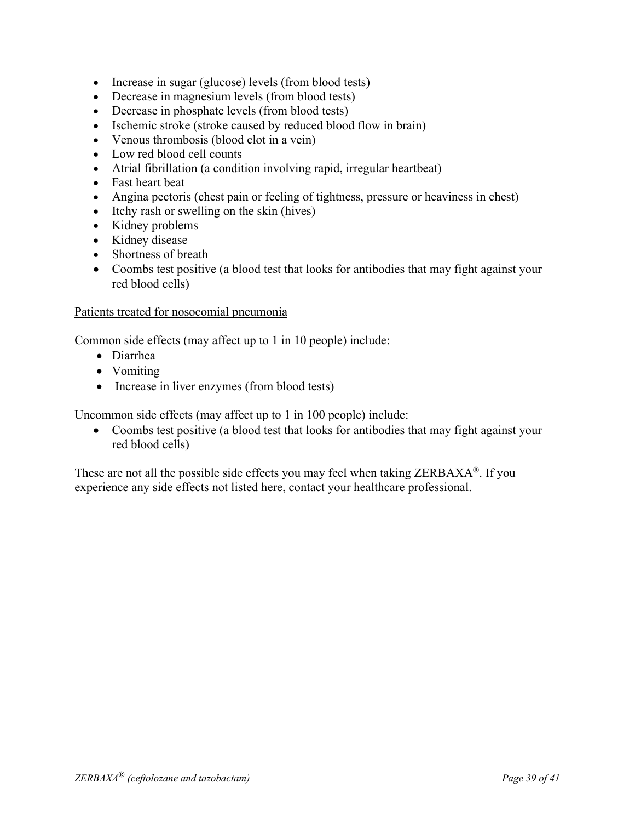- Increase in sugar (glucose) levels (from blood tests)
- Decrease in magnesium levels (from blood tests)
- Decrease in phosphate levels (from blood tests)
- Ischemic stroke (stroke caused by reduced blood flow in brain)
- Venous thrombosis (blood clot in a vein)
- Low red blood cell counts
- Atrial fibrillation (a condition involving rapid, irregular heartbeat)
- Fast heart beat
- Angina pectoris (chest pain or feeling of tightness, pressure or heaviness in chest)
- Itchy rash or swelling on the skin (hives)
- Kidney problems
- Kidney disease
- Shortness of breath
- Coombs test positive (a blood test that looks for antibodies that may fight against your red blood cells)

#### Patients treated for nosocomial pneumonia

Common side effects (may affect up to 1 in 10 people) include:

- Diarrhea
- Vomiting
- Increase in liver enzymes (from blood tests)

Uncommon side effects (may affect up to 1 in 100 people) include:

• Coombs test positive (a blood test that looks for antibodies that may fight against your red blood cells)

These are not all the possible side effects you may feel when taking ZERBAXA®. If you experience any side effects not listed here, contact your healthcare professional.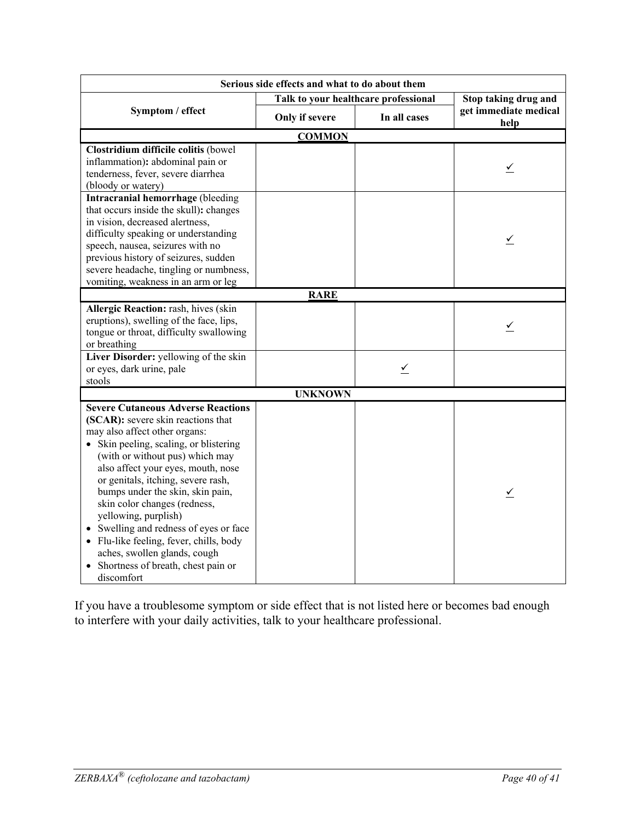| Serious side effects and what to do about them                                                                                                                                                                                                                                                                                                                                                                                                                                                                                                 |                                      |              |                               |  |  |
|------------------------------------------------------------------------------------------------------------------------------------------------------------------------------------------------------------------------------------------------------------------------------------------------------------------------------------------------------------------------------------------------------------------------------------------------------------------------------------------------------------------------------------------------|--------------------------------------|--------------|-------------------------------|--|--|
|                                                                                                                                                                                                                                                                                                                                                                                                                                                                                                                                                | Talk to your healthcare professional |              | Stop taking drug and          |  |  |
| Symptom / effect                                                                                                                                                                                                                                                                                                                                                                                                                                                                                                                               | Only if severe                       | In all cases | get immediate medical<br>help |  |  |
| <b>COMMON</b>                                                                                                                                                                                                                                                                                                                                                                                                                                                                                                                                  |                                      |              |                               |  |  |
| Clostridium difficile colitis (bowel<br>inflammation): abdominal pain or<br>tenderness, fever, severe diarrhea<br>(bloody or watery)                                                                                                                                                                                                                                                                                                                                                                                                           |                                      |              |                               |  |  |
| Intracranial hemorrhage (bleeding<br>that occurs inside the skull): changes<br>in vision, decreased alertness,<br>difficulty speaking or understanding<br>speech, nausea, seizures with no<br>previous history of seizures, sudden<br>severe headache, tingling or numbness,<br>vomiting, weakness in an arm or leg                                                                                                                                                                                                                            |                                      |              | $\overline{\mathcal{L}}$      |  |  |
|                                                                                                                                                                                                                                                                                                                                                                                                                                                                                                                                                | <b>RARE</b>                          |              |                               |  |  |
| Allergic Reaction: rash, hives (skin<br>eruptions), swelling of the face, lips,<br>tongue or throat, difficulty swallowing<br>or breathing                                                                                                                                                                                                                                                                                                                                                                                                     |                                      |              | $\leq$                        |  |  |
| Liver Disorder: yellowing of the skin<br>or eyes, dark urine, pale<br>stools                                                                                                                                                                                                                                                                                                                                                                                                                                                                   |                                      | ⊻            |                               |  |  |
| <b>UNKNOWN</b>                                                                                                                                                                                                                                                                                                                                                                                                                                                                                                                                 |                                      |              |                               |  |  |
| <b>Severe Cutaneous Adverse Reactions</b><br>(SCAR): severe skin reactions that<br>may also affect other organs:<br>• Skin peeling, scaling, or blistering<br>(with or without pus) which may<br>also affect your eyes, mouth, nose<br>or genitals, itching, severe rash,<br>bumps under the skin, skin pain,<br>skin color changes (redness,<br>yellowing, purplish)<br>Swelling and redness of eyes or face<br>• Flu-like feeling, fever, chills, body<br>aches, swollen glands, cough<br>• Shortness of breath, chest pain or<br>discomfort |                                      |              | ⊻                             |  |  |

If you have a troublesome symptom or side effect that is not listed here or becomes bad enough to interfere with your daily activities, talk to your healthcare professional.